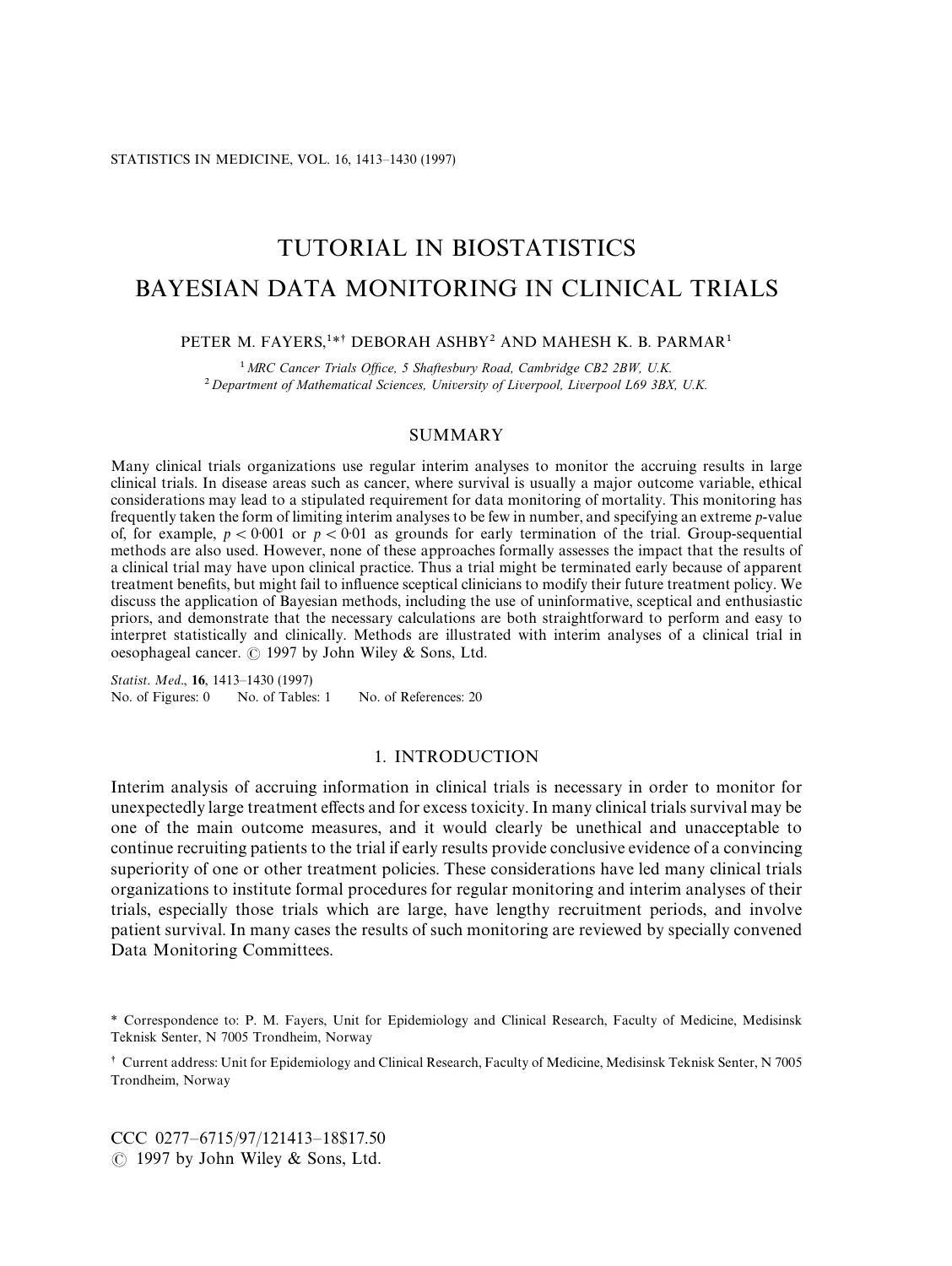STATISTICS IN MEDICINE, VOL. 16, 1413*—*1430 (1997)

# TUTORIAL IN BIOSTATISTICS BAYESIAN DATA MONITORING IN CLINICAL TRIALS

# PETER M. FAYERS,<sup>1\*†</sup> DEBORAH ASHBY<sup>2</sup> AND MAHESH K. B. PARMAR<sup>1</sup>

<sup>1</sup> MRC Cancer Trials Office, 5 Shaftesbury Road, Cambridge CB2 2BW, U.K. 2 *Department of Mathematical Sciences, University of Liverpool, Liverpool L69 3BX, U.K.*

# **SUMMARY**

Many clinical trials organizations use regular interim analyses to monitor the accruing results in large clinical trials. In disease areas such as cancer, where survival is usually a major outcome variable, ethical considerations may lead to a stipulated requirement for data monitoring of mortality. This monitoring has frequently taken the form of limiting interim analyses to be few in number, and specifying an extreme *p*-value of, for example,  $p < 0.001$  or  $p < 0.01$  as grounds for early termination of the trial. Group-sequential methods are also used. However, none of these approaches formally assesses the impact that the results of a clinical trial may have upon clinical practice. Thus a trial might be terminated early because of apparent treatment benefits, but might fail to influence sceptical clinicians to modify their future treatment policy. We discuss the application of Bayesian methods, including the use of uninformative, sceptical and enthusiastic priors, and demonstrate that the necessary calculations are both straightforward to perform and easy to interpret statistically and clinically. Methods are illustrated with interim analyses of a clinical trial in oesophageal cancer.  $\odot$  1997 by John Wiley & Sons, Ltd.

*Statist*. *Med*., 16, 1413*—*1430 (1997) No. of Figures: 0 No. of Tables: 1 No. of References: 20

# 1. INTRODUCTION

Interim analysis of accruing information in clinical trials is necessary in order to monitor for unexpectedly large treatment effects and for excess toxicity. In many clinical trials survival may be one of the main outcome measures, and it would clearly be unethical and unacceptable to continue recruiting patients to the trial if early results provide conclusive evidence of a convincing superiority of one or other treatment policies. These considerations have led many clinical trials organizations to institute formal procedures for regular monitoring and interim analyses of their trials, especially those trials which are large, have lengthy recruitment periods, and involve patient survival. In many cases the results of such monitoring are reviewed by specially convened Data Monitoring Committees.

CCC 0277*—*6715/97/121413*—*18\$17.50  $\circ$  1997 by John Wiley & Sons, Ltd.

*<sup>\*</sup>* Correspondence to: P. M. Fayers, Unit for Epidemiology and Clinical Research, Faculty of Medicine, Medisinsk Teknisk Senter, N 7005 Trondheim, Norway

s Current address: Unit for Epidemiology and Clinical Research, Faculty of Medicine, Medisinsk Teknisk Senter, N 7005 Trondheim, Norway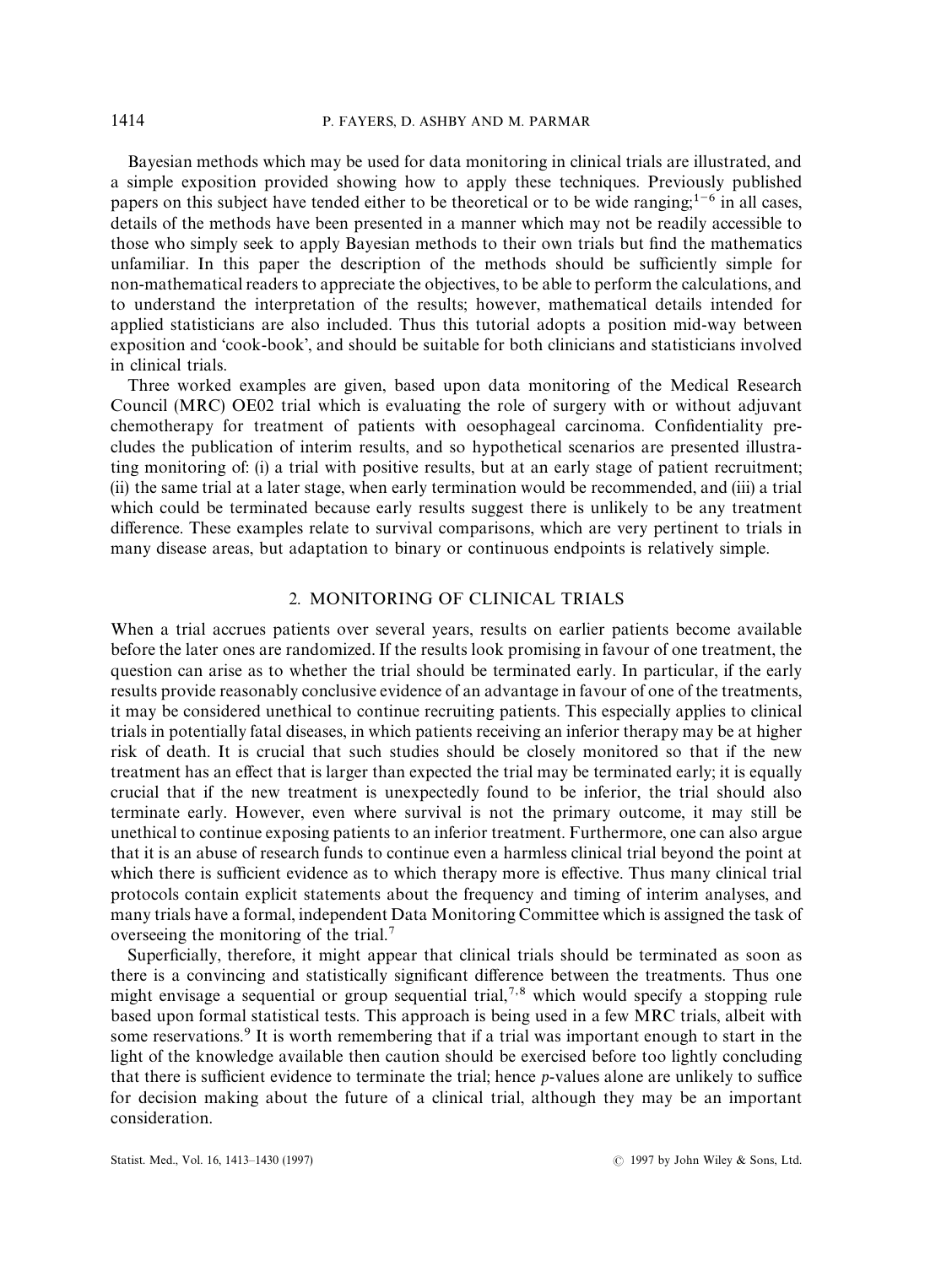Bayesian methods which may be used for data monitoring in clinical trials are illustrated, and a simple exposition provided showing how to apply these techniques. Previously published papers on this subject have tended either to be theoretical or to be wide ranging;<sup>1-6</sup> in all cases, details of the methods have been presented in a manner which may not be readily accessible to those who simply seek to apply Bayesian methods to their own trials but find the mathematics unfamiliar. In this paper the description of the methods should be sufficiently simple for non-mathematical readers to appreciate the objectives, to be able to perform the calculations, and to understand the interpretation of the results; however, mathematical details intended for applied statisticians are also included. Thus this tutorial adopts a position mid-way between exposition and 'cook-book', and should be suitable for both clinicians and statisticians involved in clinical trials.

Three worked examples are given, based upon data monitoring of the Medical Research Council (MRC) OE02 trial which is evaluating the role of surgery with or without adjuvant chemotherapy for treatment of patients with oesophageal carcinoma. Confidentiality precludes the publication of interim results, and so hypothetical scenarios are presented illustrating monitoring of: (i) a trial with positive results, but at an early stage of patient recruitment; (ii) the same trial at a later stage, when early termination would be recommended, and (iii) a trial which could be terminated because early results suggest there is unlikely to be any treatment difference. These examples relate to survival comparisons, which are very pertinent to trials in many disease areas, but adaptation to binary or continuous endpoints is relatively simple.

# 2. MONITORING OF CLINICAL TRIALS

When a trial accrues patients over several years, results on earlier patients become available before the later ones are randomized. If the results look promising in favour of one treatment, the question can arise as to whether the trial should be terminated early. In particular, if the early results provide reasonably conclusive evidence of an advantage in favour of one of the treatments, it may be considered unethical to continue recruiting patients. This especially applies to clinical trials in potentially fatal diseases, in which patients receiving an inferior therapy may be at higher risk of death. It is crucial that such studies should be closely monitored so that if the new treatment has an effect that is larger than expected the trial may be terminated early; it is equally crucial that if the new treatment is unexpectedly found to be inferior, the trial should also terminate early. However, even where survival is not the primary outcome, it may still be unethical to continue exposing patients to an inferior treatment. Furthermore, one can also argue that it is an abuse of research funds to continue even a harmless clinical trial beyond the point at which there is sufficient evidence as to which therapy more is effective. Thus many clinical trial protocols contain explicit statements about the frequency and timing of interim analyses, and many trials have a formal, independent Data Monitoring Committee which is assigned the task of overseeing the monitoring of the trial.7

Superficially, therefore, it might appear that clinical trials should be terminated as soon as there is a convincing and statistically significant difference between the treatments. Thus one might envisage a sequential or group sequential trial,<sup>7,8</sup> which would specify a stopping rule based upon formal statistical tests. This approach is being used in a few MRC trials, albeit with some reservations.<sup>9</sup> It is worth remembering that if a trial was important enough to start in the light of the knowledge available then caution should be exercised before too lightly concluding that there is sufficient evidence to terminate the trial; hence *p*-values alone are unlikely to suffice for decision making about the future of a clinical trial, although they may be an important consideration.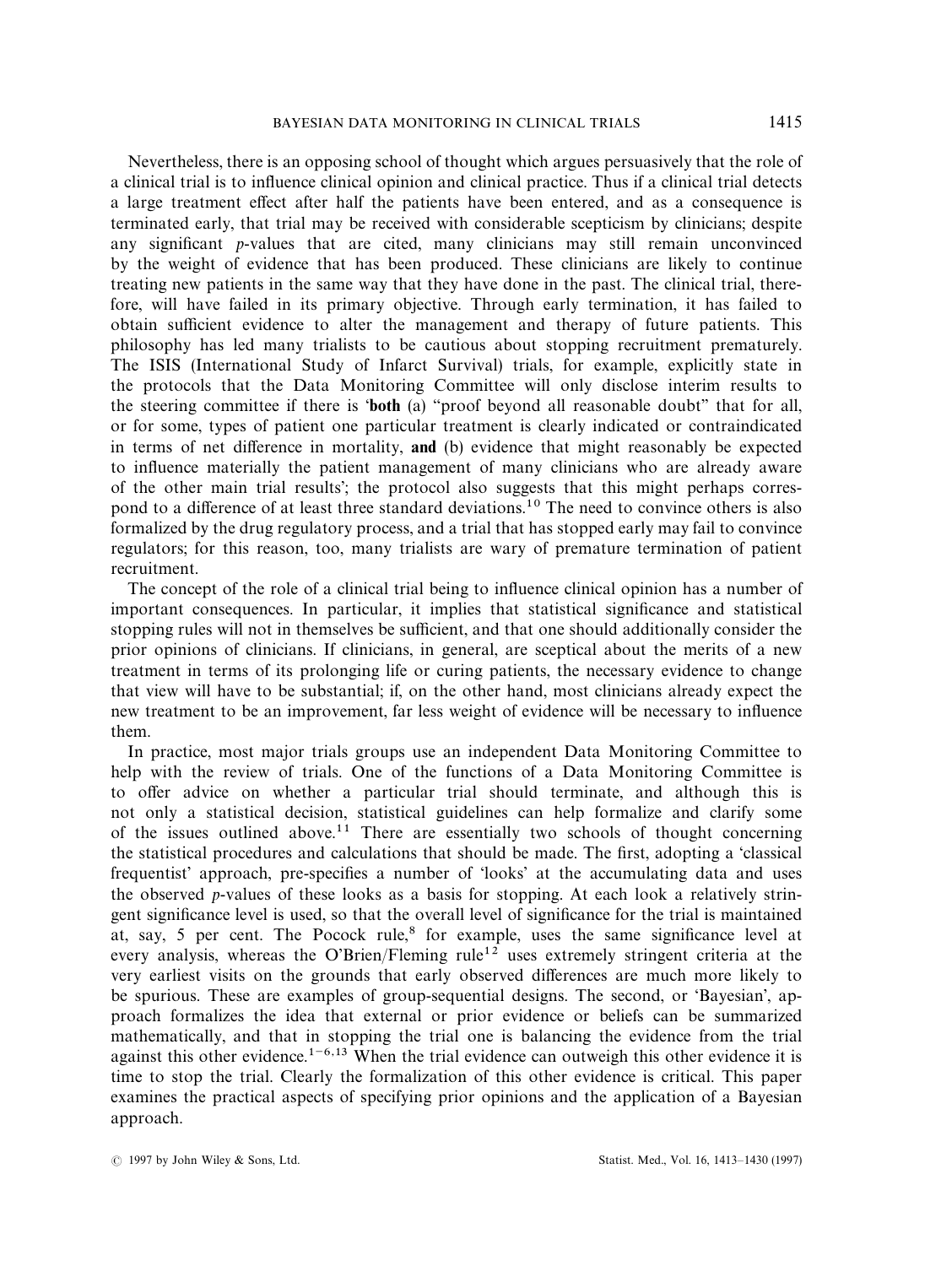Nevertheless, there is an opposing school of thought which argues persuasively that the role of a clinical trial is to influence clinical opinion and clinical practice. Thus if a clinical trial detects a large treatment effect after half the patients have been entered, and as a consequence is terminated early, that trial may be received with considerable scepticism by clinicians; despite any significant *p*-values that are cited, many clinicians may still remain unconvinced by the weight of evidence that has been produced. These clinicians are likely to continue treating new patients in the same way that they have done in the past. The clinical trial, therefore, will have failed in its primary objective. Through early termination, it has failed to obtain sufficient evidence to alter the management and therapy of future patients. This philosophy has led many trialists to be cautious about stopping recruitment prematurely. The ISIS (International Study of Infarct Survival) trials, for example, explicitly state in the protocols that the Data Monitoring Committee will only disclose interim results to the steering committee if there is 'both (a) ''proof beyond all reasonable doubt'' that for all, or for some, types of patient one particular treatment is clearly indicated or contraindicated in terms of net difference in mortality, and (b) evidence that might reasonably be expected to influence materially the patient management of many clinicians who are already aware of the other main trial results'; the protocol also suggests that this might perhaps correspond to a difference of at least three standard deviations.<sup>10</sup> The need to convince others is also formalized by the drug regulatory process, and a trial that has stopped early may fail to convince regulators; for this reason, too, many trialists are wary of premature termination of patient recruitment.

The concept of the role of a clinical trial being to influence clinical opinion has a number of important consequences. In particular, it implies that statistical significance and statistical stopping rules will not in themselves be sufficient, and that one should additionally consider the prior opinions of clinicians. If clinicians, in general, are sceptical about the merits of a new treatment in terms of its prolonging life or curing patients, the necessary evidence to change that view will have to be substantial; if, on the other hand, most clinicians already expect the new treatment to be an improvement, far less weight of evidence will be necessary to influence them.

In practice, most major trials groups use an independent Data Monitoring Committee to help with the review of trials. One of the functions of a Data Monitoring Committee is to offer advice on whether a particular trial should terminate, and although this is not only a statistical decision, statistical guidelines can help formalize and clarify some of the issues outlined above.<sup>11</sup> There are essentially two schools of thought concerning the statistical procedures and calculations that should be made. The first, adopting a 'classical frequentist' approach, pre-specifies a number of 'looks' at the accumulating data and uses the observed *p*-values of these looks as a basis for stopping. At each look a relatively stringent significance level is used, so that the overall level of significance for the trial is maintained at, say, 5 per cent. The Pocock rule, $8$  for example, uses the same significance level at every analysis, whereas the O'Brien/Fleming rule<sup>12</sup> uses extremely stringent criteria at the very earliest visits on the grounds that early observed differences are much more likely to be spurious. These are examples of group-sequential designs. The second, or 'Bayesian', approach formalizes the idea that external or prior evidence or beliefs can be summarized mathematically, and that in stopping the trial one is balancing the evidence from the trial against this other evidence.<sup>1-6,13</sup> When the trial evidence can outweigh this other evidence it is time to stop the trial. Clearly the formalization of this other evidence is critical. This paper examines the practical aspects of specifying prior opinions and the application of a Bayesian approach.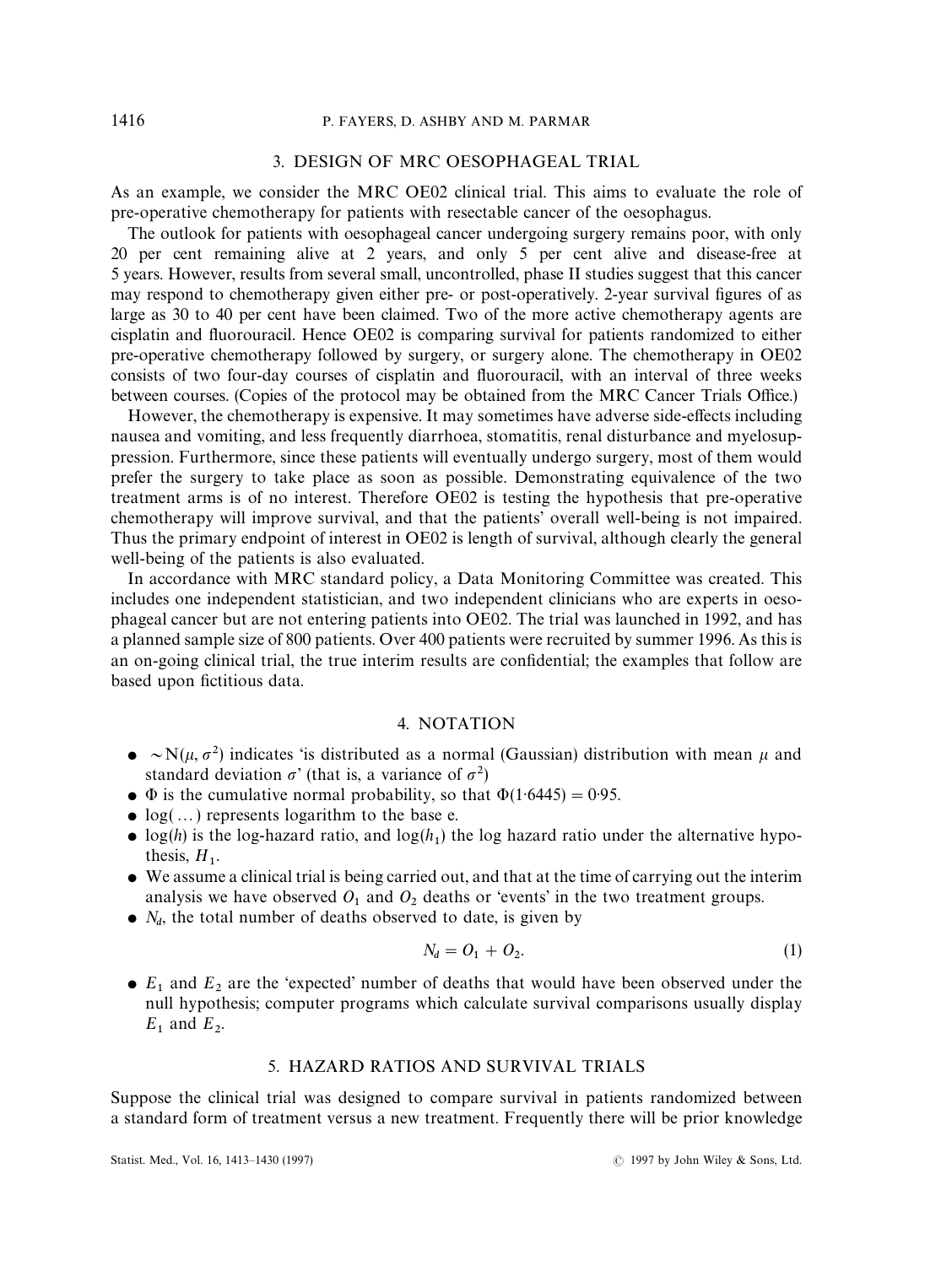## 1416 P. FAYERS, D. ASHBY AND M. PARMAR

# 3. DESIGN OF MRC OESOPHAGEAL TRIAL

As an example, we consider the MRC OE02 clinical trial. This aims to evaluate the role of pre-operative chemotherapy for patients with resectable cancer of the oesophagus.

The outlook for patients with oesophageal cancer undergoing surgery remains poor, with only 20 per cent remaining alive at 2 years, and only 5 per cent alive and disease-free at 5 years. However, results from several small, uncontrolled, phase II studies suggest that this cancer may respond to chemotherapy given either pre- or post-operatively. 2-year survival figures of as large as 30 to 40 per cent have been claimed. Two of the more active chemotherapy agents are cisplatin and fluorouracil. Hence OE02 is comparing survival for patients randomized to either pre-operative chemotherapy followed by surgery, or surgery alone. The chemotherapy in OE02 consists of two four-day courses of cisplatin and fluorouracil, with an interval of three weeks between courses. (Copies of the protocol may be obtained from the MRC Cancer Trials Office.)

However, the chemotherapy is expensive. It may sometimes have adverse side-effects including nausea and vomiting, and less frequently diarrhoea, stomatitis, renal disturbance and myelosuppression. Furthermore, since these patients will eventually undergo surgery, most of them would prefer the surgery to take place as soon as possible. Demonstrating equivalence of the two treatment arms is of no interest. Therefore OE02 is testing the hypothesis that pre-operative chemotherapy will improve survival, and that the patients' overall well-being is not impaired. Thus the primary endpoint of interest in OE02 is length of survival, although clearly the general well-being of the patients is also evaluated.

In accordance with MRC standard policy, a Data Monitoring Committee was created. This includes one independent statistician, and two independent clinicians who are experts in oesophageal cancer but are not entering patients into OE02. The trial was launched in 1992, and has a planned sample size of 800 patients. Over 400 patients were recruited by summer 1996. As this is an on-going clinical trial, the true interim results are confidential; the examples that follow are based upon fictitious data.

# 4. NOTATION

- $\bullet \sim N(\mu, \sigma^2)$  indicates 'is distributed as a normal (Gaussian) distribution with mean  $\mu$  and standard deviation  $\sigma'$  (that is, a variance of  $\sigma^2$ )
- $\bullet$   $\Phi$  is the cumulative normal probability, so that  $\Phi(1.6445) = 0.95$ .
- $\bullet$  log(...) represents logarithm to the base e.
- $\bullet$  log(*h*) is the log-hazard ratio, and log(*h*<sub>1</sub>) the log hazard ratio under the alternative hypothesis,  $H_1$ .
- We assume a clinical trial is being carried out, and that at the time of carrying out the interim analysis we have observed  $O_1$  and  $O_2$  deaths or 'events' in the two treatment groups.
- $\bullet$  *N<sub>d</sub>*, the total number of deaths observed to date, is given by

$$
N_d = O_1 + O_2. \tag{1}
$$

 $\bullet$   $E_1$  and  $E_2$  are the 'expected' number of deaths that would have been observed under the null hypothesis; computer programs which calculate survival comparisons usually display  $E_1$  and  $E_2$ .

# 5. HAZARD RATIOS AND SURVIVAL TRIALS

Suppose the clinical trial was designed to compare survival in patients randomized between a standard form of treatment versus a new treatment. Frequently there will be prior knowledge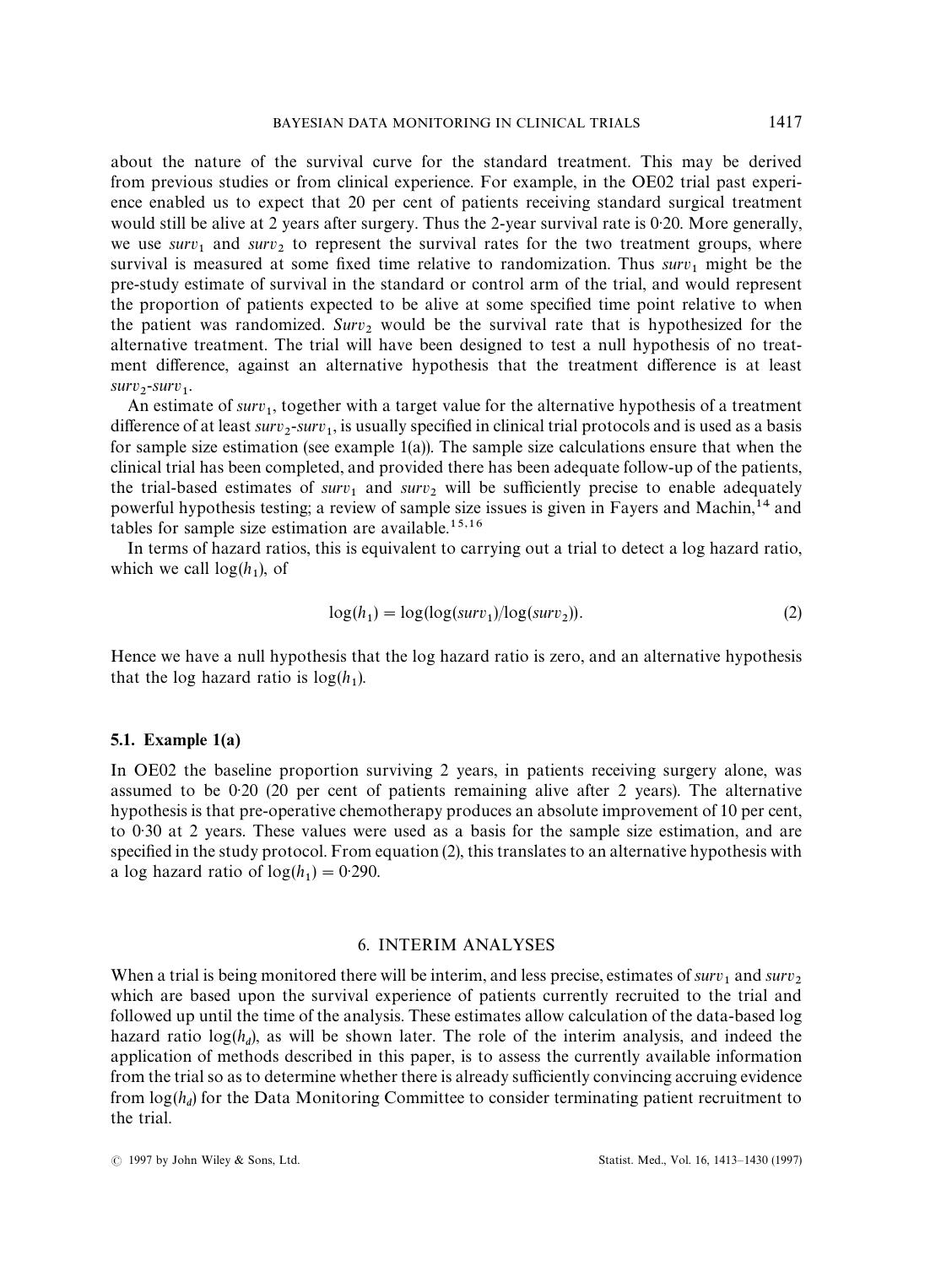about the nature of the survival curve for the standard treatment. This may be derived from previous studies or from clinical experience. For example, in the OE02 trial past experience enabled us to expect that 20 per cent of patients receiving standard surgical treatment would still be alive at 2 years after surgery. Thus the 2-year survival rate is 0·20. More generally, we use  $surv_1$  and  $surv_2$  to represent the survival rates for the two treatment groups, where survival is measured at some fixed time relative to randomization. Thus  $surv<sub>1</sub>$  might be the pre-study estimate of survival in the standard or control arm of the trial, and would represent the proportion of patients expected to be alive at some specified time point relative to when the patient was randomized. *Surv*<sub>2</sub> would be the survival rate that is hypothesized for the alternative treatment. The trial will have been designed to test a null hypothesis of no treatment difference, against an alternative hypothesis that the treatment difference is at least  $\frac{1}{2}$ -*surv*<sub>1</sub>.

An estimate of *surv*<sub>1</sub>, together with a target value for the alternative hypothesis of a treatment difference of at least  $surv_2-surv_1$ , is usually specified in clinical trial protocols and is used as a basis for sample size estimation (see example 1(a)). The sample size calculations ensure that when the clinical trial has been completed, and provided there has been adequate follow-up of the patients, the trial-based estimates of  $surv_1$  and  $surv_2$  will be sufficiently precise to enable adequately powerful hypothesis testing; a review of sample size issues is given in Fayers and Machin,14 and tables for sample size estimation are available.<sup>15,16</sup>

In terms of hazard ratios, this is equivalent to carrying out a trial to detect a log hazard ratio, which we call  $log(h_1)$ , of

$$
log(h_1) = log(log(surv_1)/log(surv_2)).
$$
\n(2)

Hence we have a null hypothesis that the log hazard ratio is zero, and an alternative hypothesis that the log hazard ratio is  $log(h_1)$ .

#### 5.1. Example 1(a)

In OE02 the baseline proportion surviving 2 years, in patients receiving surgery alone, was assumed to be 0·20 (20 per cent of patients remaining alive after 2 years). The alternative hypothesis is that pre-operative chemotherapy produces an absolute improvement of 10 per cent, to 0·30 at 2 years. These values were used as a basis for the sample size estimation, and are specified in the study protocol. From equation (2), this translates to an alternative hypothesis with a log hazard ratio of  $log(h_1) = 0.290$ .

# 6. INTERIM ANALYSES

When a trial is being monitored there will be interim, and less precise, estimates of  $surv<sub>1</sub>$  and  $surv<sub>2</sub>$  which are based upon the survival experience of patients currently recruited to the trial and followed up until the time of the analysis. These estimates allow calculation of the data-based log hazard ratio  $log(h_d)$ , as will be shown later. The role of the interim analysis, and indeed the application of methods described in this paper, is to assess the currently available information from the trial so as to determine whether there is already sufficiently convincing accruing evidence from log(*h d*) for the Data Monitoring Committee to consider terminating patient recruitment to the trial.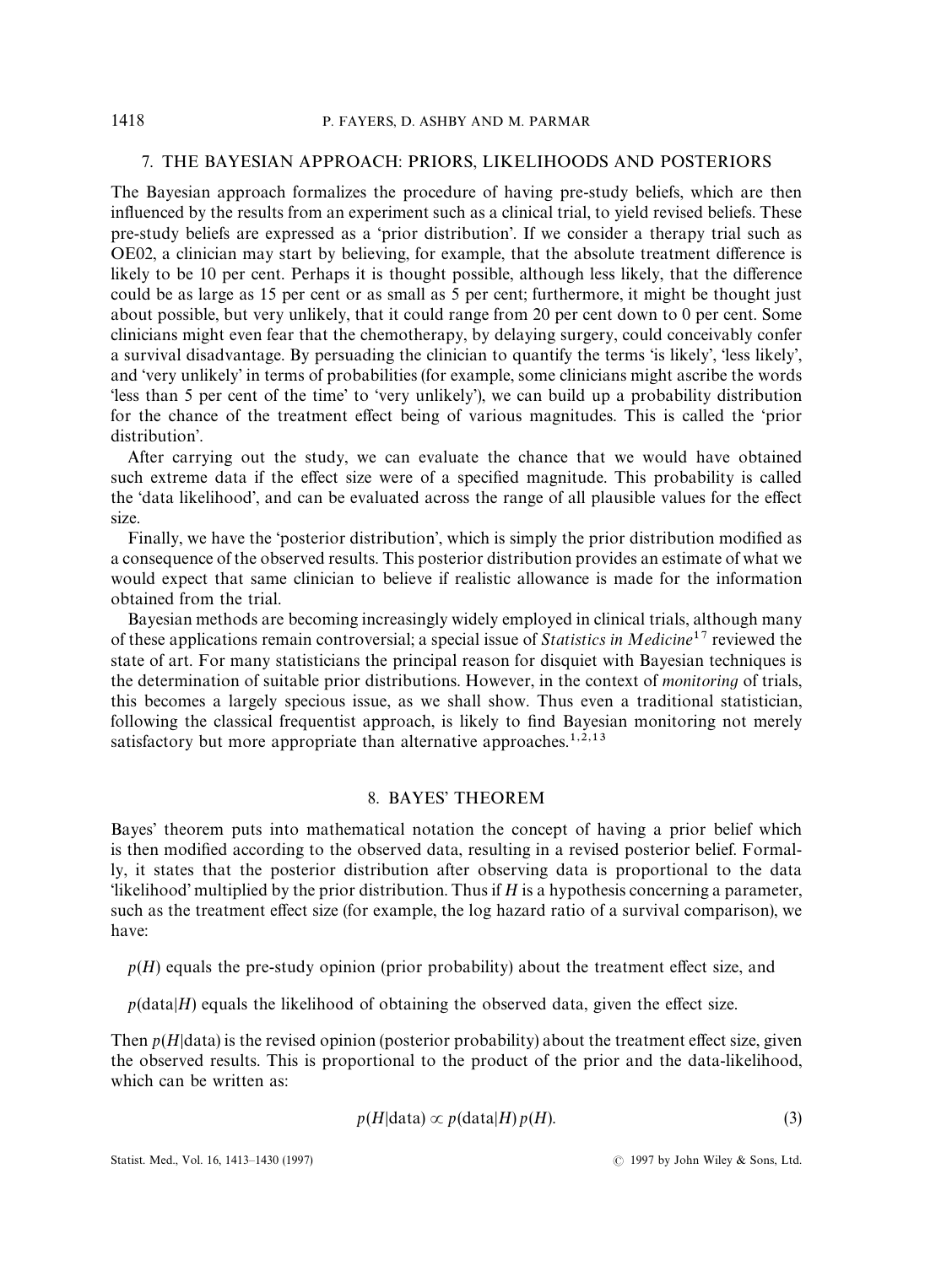# 7. THE BAYESIAN APPROACH: PRIORS, LIKELIHOODS AND POSTERIORS

The Bayesian approach formalizes the procedure of having pre-study beliefs, which are then influenced by the results from an experiment such as a clinical trial, to yield revised beliefs. These pre-study beliefs are expressed as a 'prior distribution'. If we consider a therapy trial such as OE02, a clinician may start by believing, for example, that the absolute treatment difference is likely to be 10 per cent. Perhaps it is thought possible, although less likely, that the difference could be as large as 15 per cent or as small as 5 per cent; furthermore, it might be thought just about possible, but very unlikely, that it could range from 20 per cent down to 0 per cent. Some clinicians might even fear that the chemotherapy, by delaying surgery, could conceivably confer a survival disadvantage. By persuading the clinician to quantify the terms 'is likely', 'less likely', and 'very unlikely' in terms of probabilities (for example, some clinicians might ascribe the words 'less than 5 per cent of the time' to 'very unlikely'), we can build up a probability distribution for the chance of the treatment effect being of various magnitudes. This is called the 'prior distribution'.

After carrying out the study, we can evaluate the chance that we would have obtained such extreme data if the effect size were of a specified magnitude. This probability is called the 'data likelihood', and can be evaluated across the range of all plausible values for the effect size.

Finally, we have the 'posterior distribution', which is simply the prior distribution modified as a consequence of the observed results. This posterior distribution provides an estimate of what we would expect that same clinician to believe if realistic allowance is made for the information obtained from the trial.

Bayesian methods are becoming increasingly widely employed in clinical trials, although many of these applications remain controversial; a special issue of *Statistics in Medicine*17 reviewed the state of art. For many statisticians the principal reason for disquiet with Bayesian techniques is the determination of suitable prior distributions. However, in the context of *monitoring* of trials, this becomes a largely specious issue, as we shall show. Thus even a traditional statistician, following the classical frequentist approach, is likely to find Bayesian monitoring not merely satisfactory but more appropriate than alternative approaches.<sup>1,2,13</sup>

# 8. BAYES' THEOREM

Bayes' theorem puts into mathematical notation the concept of having a prior belief which is then modified according to the observed data, resulting in a revised posterior belief. Formally, it states that the posterior distribution after observing data is proportional to the data 'likelihood' multiplied by the prior distribution. Thus if *H* is a hypothesis concerning a parameter, such as the treatment effect size (for example, the log hazard ratio of a survival comparison), we have:

*p*(*H*) equals the pre-study opinion (prior probability) about the treatment effect size, and

 $p(\text{data}|H)$  equals the likelihood of obtaining the observed data, given the effect size.

Then  $p(H|data)$  is the revised opinion (posterior probability) about the treatment effect size, given the observed results. This is proportional to the product of the prior and the data-likelihood, which can be written as:

$$
p(H|\text{data}) \propto p(\text{data}|H)p(H). \tag{3}
$$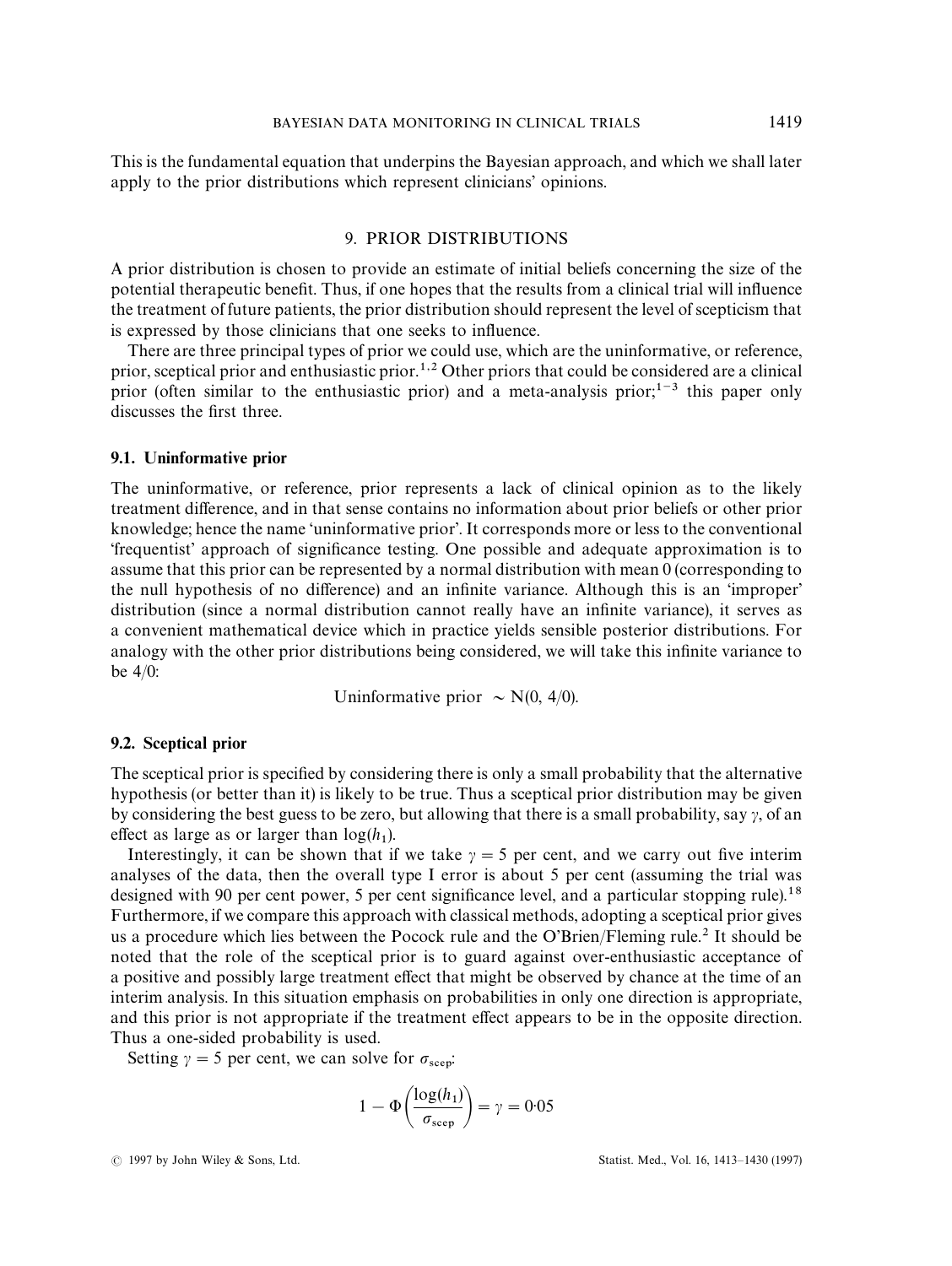This is the fundamental equation that underpins the Bayesian approach, and which we shall later apply to the prior distributions which represent clinicians' opinions.

# 9. PRIOR DISTRIBUTIONS

A prior distribution is chosen to provide an estimate of initial beliefs concerning the size of the potential therapeutic benefit. Thus, if one hopes that the results from a clinical trial will influence the treatment of future patients, the prior distribution should represent the level of scepticism that is expressed by those clinicians that one seeks to influence.

There are three principal types of prior we could use, which are the uninformative, or reference, prior, sceptical prior and enthusiastic prior.<sup>1,2</sup> Other priors that could be considered are a clinical prior (often similar to the enthusiastic prior) and a meta-analysis prior;<sup>1-3</sup> this paper only discusses the first three.

# 9.1. Uninformative prior

The uninformative, or reference, prior represents a lack of clinical opinion as to the likely treatment difference, and in that sense contains no information about prior beliefs or other prior knowledge; hence the name 'uninformative prior'. It corresponds more or less to the conventional 'frequentist' approach of significance testing. One possible and adequate approximation is to assume that this prior can be represented by a normal distribution with mean 0 (corresponding to the null hypothesis of no difference) and an infinite variance. Although this is an 'improper' distribution (since a normal distribution cannot really have an infinite variance), it serves as a convenient mathematical device which in practice yields sensible posterior distributions. For analogy with the other prior distributions being considered, we will take this infinite variance to be 4/0:

Uninformative prior  $\sim N(0, 4/0)$ .

## 9.2. Sceptical prior

The sceptical prior is specified by considering there is only a small probability that the alternative hypothesis (or better than it) is likely to be true. Thus a sceptical prior distribution may be given by considering the best guess to be zero, but allowing that there is a small probability, say  $\gamma$ , of an effect as large as or larger than  $log(h_1)$ .

Extrast large as of larger than  $log(n_1)$ .<br>Interestingly, it can be shown that if we take  $\gamma = 5$  per cent, and we carry out five interim analyses of the data, then the overall type I error is about 5 per cent (assuming the trial was designed with 90 per cent power, 5 per cent significance level, and a particular stopping rule).<sup>18</sup> Furthermore, if we compare this approach with classical methods, adopting a sceptical prior gives us a procedure which lies between the Pocock rule and the O'Brien/Fleming rule.<sup>2</sup> It should be noted that the role of the sceptical prior is to guard against over-enthusiastic acceptance of a positive and possibly large treatment effect that might be observed by chance at the time of an interim analysis. In this situation emphasis on probabilities in only one direction is appropriate, and this prior is not appropriate if the treatment effect appears to be in the opposite direction. Thus a one-sided probability is used.

Setting  $\gamma = 5$  per cent, we can solve for  $\sigma_{\text{seep}}$ .

$$
1 - \Phi\left(\frac{\log(h_1)}{\sigma_{\text{seep}}}\right) = \gamma = 0.05
$$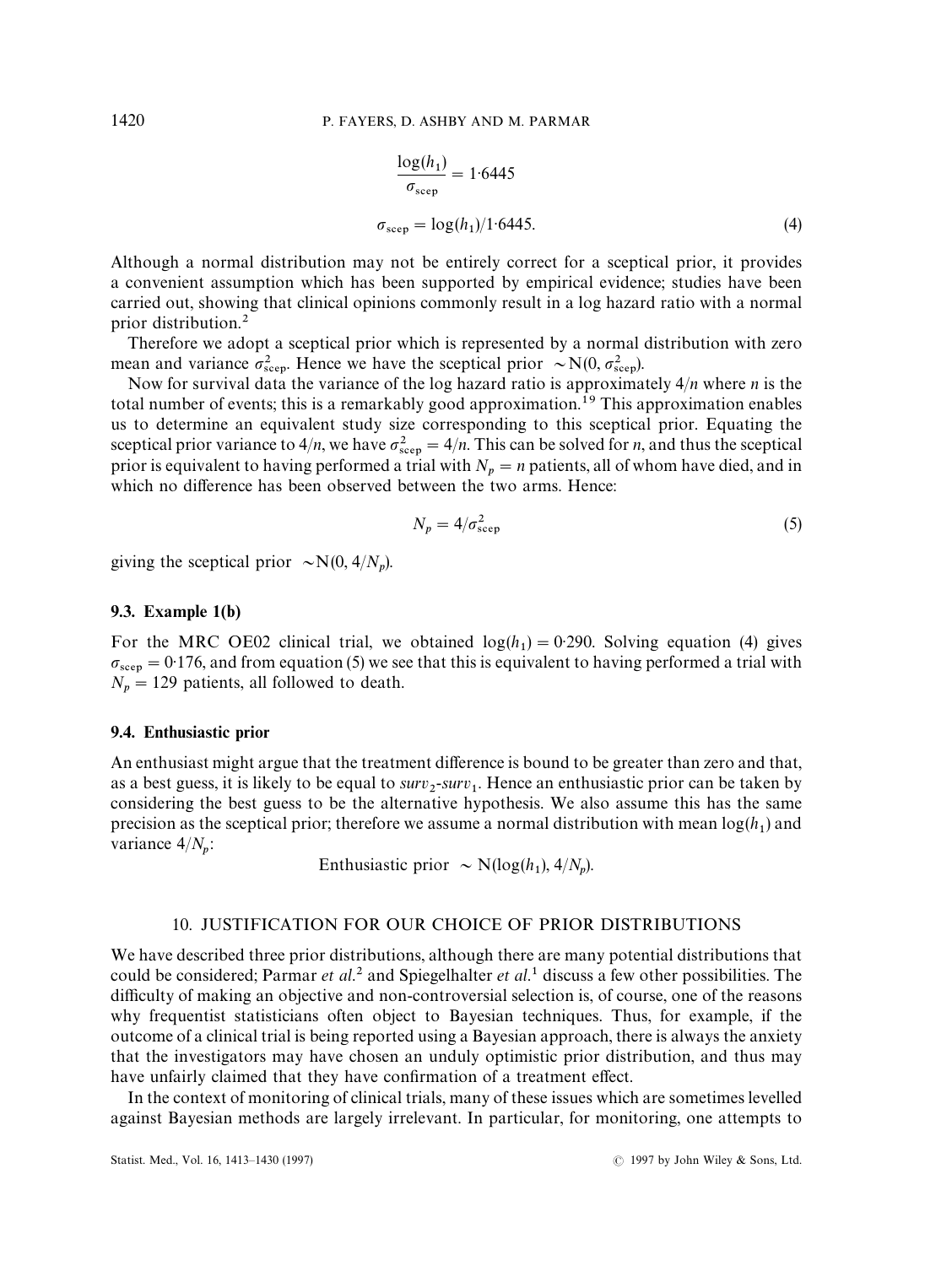$$
\frac{\log(h_1)}{\sigma_{\text{scep}}} = 1.6445
$$
  

$$
\sigma_{\text{scep}} = \log(h_1)/1.6445.
$$
 (4)

Although a normal distribution may not be entirely correct for a sceptical prior, it provides a convenient assumption which has been supported by empirical evidence; studies have been carried out, showing that clinical opinions commonly result in a log hazard ratio with a normal prior distribution.2

Therefore we adopt a sceptical prior which is represented by a normal distribution with zero mean and variance  $\sigma_{\text{seep}}^2$ . Hence we have the sceptical prior  $\sim N(0, \sigma_{\text{seep}}^2)$ .

Now for survival data the variance of the log hazard ratio is approximately 4/*n* where *n* is the total number of events; this is a remarkably good approximation.<sup>19</sup> This approximation enables us to determine an equivalent study size corresponding to this sceptical prior. Equating the sceptical prior variance to  $4/n$ , we have  $\sigma_{\text{seep}}^2 = 4/n$ . This can be solved for *n*, and thus the sceptical prior is equivalent to having performed a trial with  $N_p = n$  patients, all of whom have died, and in which no difference has been observed between the two arms. Hence:

$$
N_p = 4/\sigma_{\text{scep}}^2 \tag{5}
$$

giving the sceptical prior  $\sim N(0, 4/N_p)$ .

## 9.3. Example 1(b)

For the MRC OE02 clinical trial, we obtained  $log(h_1) = 0.290$ . Solving equation (4) gives For the MKC OE02 enfined that, we obtained  $log(n_1) = 0.290$ . Solving equation (4) gives  $\sigma_{\text{seep}} = 0.176$ , and from equation (5) we see that this is equivalent to having performed a trial with  $N_p = 129$  patients, all followed to death.

## 9.4. Enthusiastic prior

An enthusiast might argue that the treatment difference is bound to be greater than zero and that, as a best guess, it is likely to be equal to  $\frac{surv_2\text{-}surv_1}{\text{. Hence an enthusiastic prior can be taken by}}$ considering the best guess to be the alternative hypothesis. We also assume this has the same precision as the sceptical prior; therefore we assume a normal distribution with mean  $log(h_1)$  and variance 4/*Np*:

Enthusiastic prior  $\sim N(\log(h_1), 4/N_p)$ .

# 10. JUSTIFICATION FOR OUR CHOICE OF PRIOR DISTRIBUTIONS

We have described three prior distributions, although there are many potential distributions that could be considered; Parmar *et al.*<sup>2</sup> and Spiegelhalter *et al.*<sup>1</sup> discuss a few other possibilities. The difficulty of making an objective and non-controversial selection is, of course, one of the reasons why frequentist statisticians often object to Bayesian techniques. Thus, for example, if the outcome of a clinical trial is being reported using a Bayesian approach, there is always the anxiety that the investigators may have chosen an unduly optimistic prior distribution, and thus may have unfairly claimed that they have confirmation of a treatment effect.

In the context of monitoring of clinical trials, many of these issues which are sometimes levelled against Bayesian methods are largely irrelevant. In particular, for monitoring, one attempts to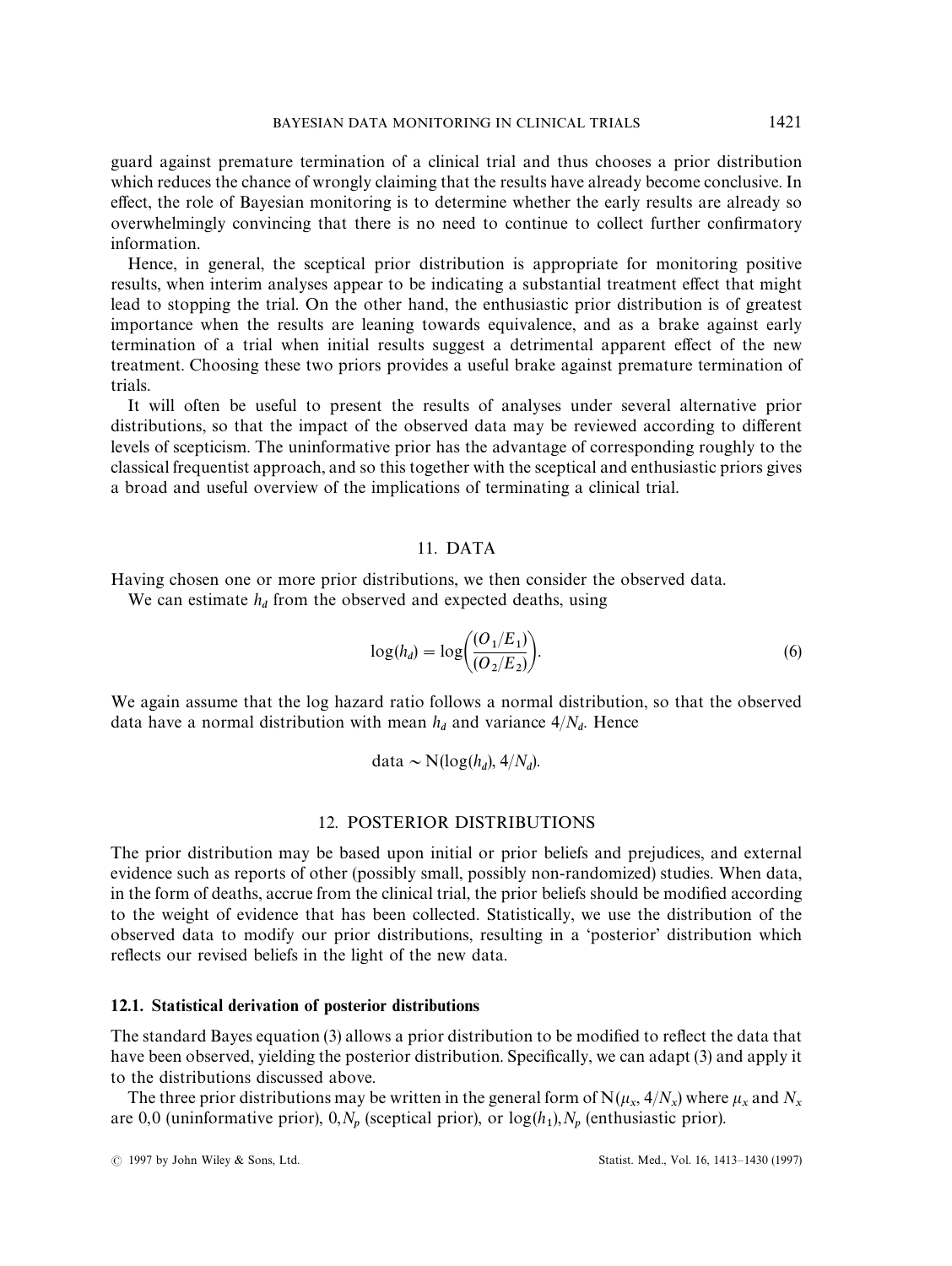guard against premature termination of a clinical trial and thus chooses a prior distribution which reduces the chance of wrongly claiming that the results have already become conclusive. In effect, the role of Bayesian monitoring is to determine whether the early results are already so overwhelmingly convincing that there is no need to continue to collect further confirmatory information.

Hence, in general, the sceptical prior distribution is appropriate for monitoring positive results, when interim analyses appear to be indicating a substantial treatment effect that might lead to stopping the trial. On the other hand, the enthusiastic prior distribution is of greatest importance when the results are leaning towards equivalence, and as a brake against early termination of a trial when initial results suggest a detrimental apparent effect of the new treatment. Choosing these two priors provides a useful brake against premature termination of trials.

It will often be useful to present the results of analyses under several alternative prior distributions, so that the impact of the observed data may be reviewed according to different levels of scepticism. The uninformative prior has the advantage of corresponding roughly to the classical frequentist approach, and so this together with the sceptical and enthusiastic priors gives a broad and useful overview of the implications of terminating a clinical trial.

#### 11. DATA

Having chosen one or more prior distributions, we then consider the observed data.

We can estimate  $h_d$  from the observed and expected deaths, using

$$
\log(h_d) = \log\left(\frac{(O_1/E_1)}{(O_2/E_2)}\right).
$$
 (6)

We again assume that the log hazard ratio follows a normal distribution, so that the observed data have a normal distribution with mean  $h_d$  and variance  $4/N_d$ . Hence

data 
$$
\sim N(\log(h_d), 4/N_d)
$$
.

#### 12. POSTERIOR DISTRIBUTIONS

The prior distribution may be based upon initial or prior beliefs and prejudices, and external evidence such as reports of other (possibly small, possibly non-randomized) studies. When data, in the form of deaths, accrue from the clinical trial, the prior beliefs should be modified according to the weight of evidence that has been collected. Statistically, we use the distribution of the observed data to modify our prior distributions, resulting in a 'posterior' distribution which reflects our revised beliefs in the light of the new data.

## 12.1. Statistical derivation of posterior distributions

The standard Bayes equation (3) allows a prior distribution to be modified to reflect the data that have been observed, yielding the posterior distribution. Specifically, we can adapt (3) and apply it to the distributions discussed above.

The three prior distributions may be written in the general form of  $N(\mu_x, 4/N_x)$  where  $\mu_x$  and  $N_x$  are 0,0 (uninformative prior), 0,  $N_p$  (sceptical prior), or  $log(h_1), N_p$  (enthusiastic prior).  $N_p$  (sceptical prior), or  $log(h_1)$ ,  $N_p$  (enthusiastic prior).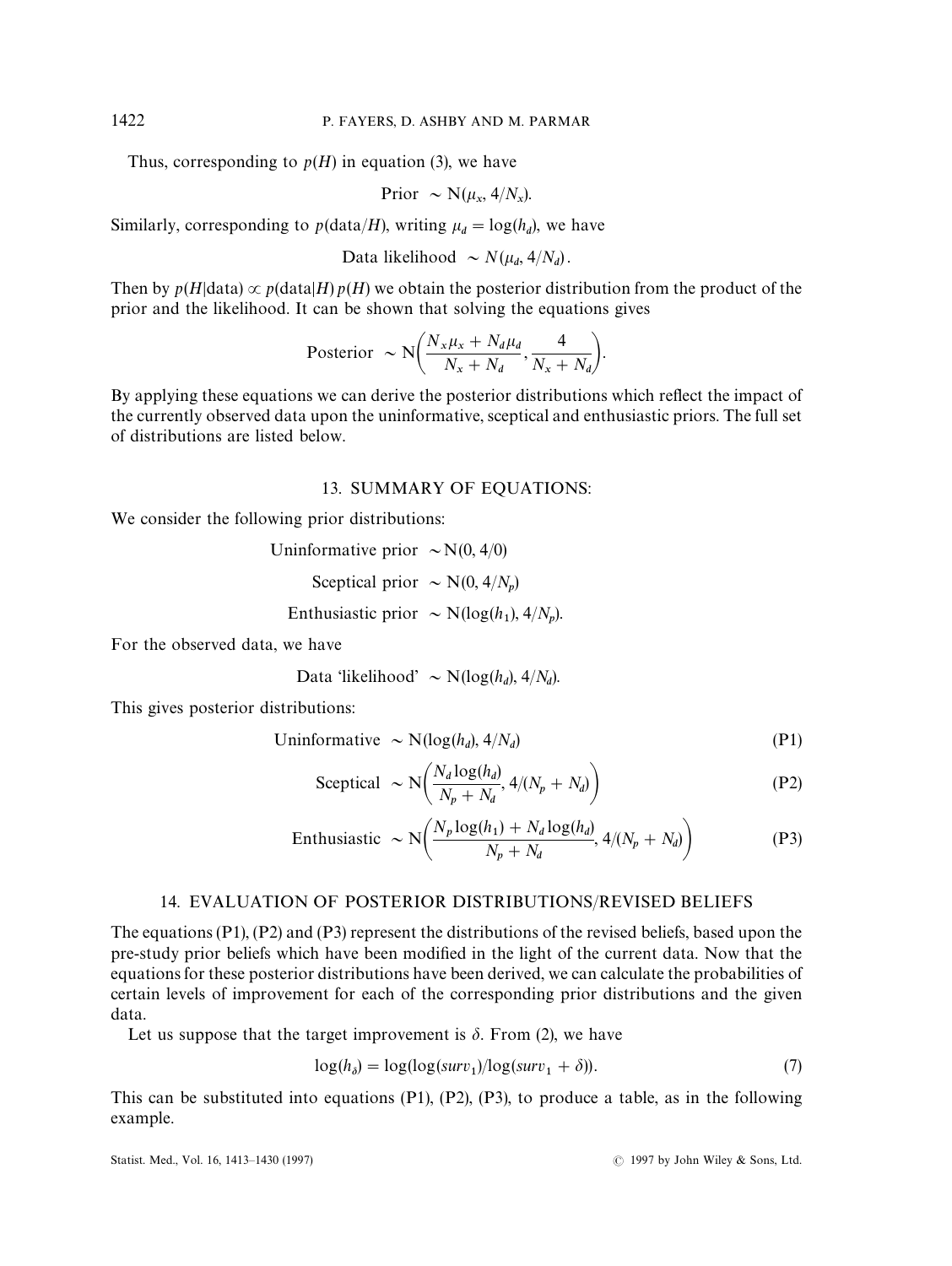Thus, corresponding to  $p(H)$  in equation (3), we have

$$
Prior ~ \sim N(\mu_x, 4/N_x).
$$

Similarly, corresponding to  $p(\text{data}/H)$ , writing  $\mu_d = \log(h_d)$ , we have

Data likelihood  $\sim N(\mu_d, 4/N_d)$ .

Then by  $p(H|\text{data}) \propto p(\text{data}|H)p(H)$  we obtain the posterior distribution from the product of the prior and the likelihood. It can be shown that solving the equations gives

$$
\text{Posterior } \sim \mathcal{N}\bigg(\frac{N_x\mu_x + N_d\mu_d}{N_x + N_d}, \frac{4}{N_x + N_d}\bigg).
$$

By applying these equations we can derive the posterior distributions which reflect the impact of the currently observed data upon the uninformative, sceptical and enthusiastic priors. The full set of distributions are listed below.

# 13. SUMMARY OF EQUATIONS:

We consider the following prior distributions:

Uninformative prior ~N(0, 4/0)  
Sequential prior ~N(0, 4/N<sub>p</sub>)  
Enthusiastic prior ~N(log(
$$
h_1
$$
), 4/N<sub>p</sub>).

For the observed data, we have

Data 'likelihood' 
$$
\sim N(log(h_d), 4/N_d)
$$
.

This gives posterior distributions:

$$
Uniformative \sim N(log(h_d), 4/N_d)
$$
 (P1)

$$
\text{Sequential } \sim \mathcal{N}\left(\frac{N_d \log(h_d)}{N_p + N_d}, \, 4/(N_p + N_d)\right) \tag{P2}
$$

Enthusiastic 
$$
\sim N\left(\frac{N_p \log(h_1) + N_d \log(h_d)}{N_p + N_d}, \frac{4}{N_p + N_d}\right)
$$
 (P3)

# 14. EVALUATION OF POSTERIOR DISTRIBUTIONS/REVISED BELIEFS

The equations (P1), (P2) and (P3) represent the distributions of the revised beliefs, based upon the pre-study prior beliefs which have been modified in the light of the current data. Now that the equations for these posterior distributions have been derived, we can calculate the probabilities of certain levels of improvement for each of the corresponding prior distributions and the given data.

Let us suppose that the target improvement is  $\delta$ . From (2), we have

$$
\log(h_{\delta}) = \log(\log(surv_1)/\log(surv_1 + \delta)).\tag{7}
$$

This can be substituted into equations  $(P1)$ ,  $(P2)$ ,  $(P3)$ , to produce a table, as in the following example.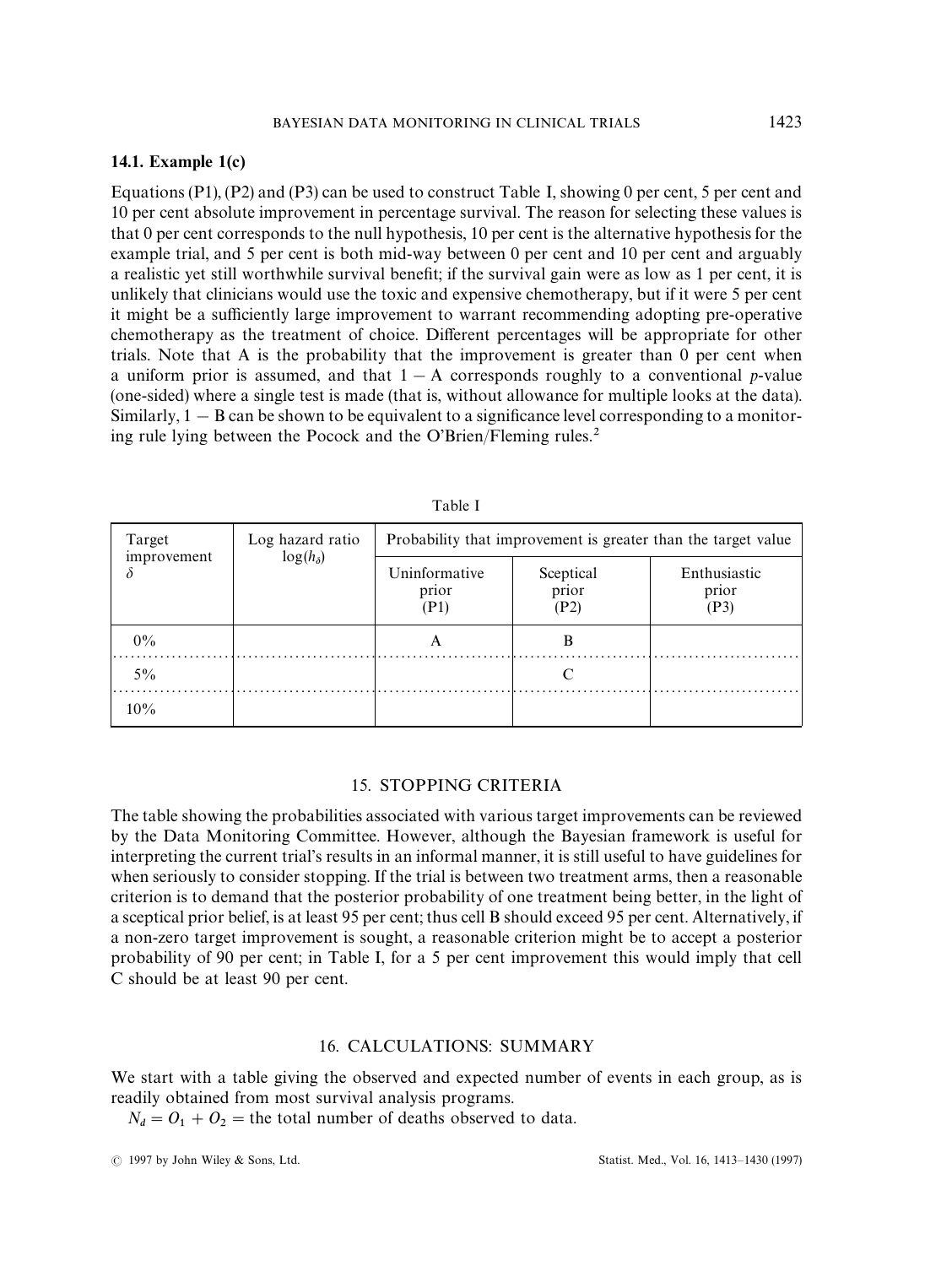# 14.1. Example 1(c)

Equations  $(P1)$ ,  $(P2)$  and  $(P3)$  can be used to construct Table I, showing 0 per cent, 5 per cent and 10 per cent absolute improvement in percentage survival. The reason for selecting these values is that 0 per cent corresponds to the null hypothesis, 10 per cent is the alternative hypothesis for the example trial, and 5 per cent is both mid-way between 0 per cent and 10 per cent and arguably a realistic yet still worthwhile survival benefit; if the survival gain were as low as 1 per cent, it is unlikely that clinicians would use the toxic and expensive chemotherapy, but if it were 5 per cent it might be a sufficiently large improvement to warrant recommending adopting pre-operative chemotherapy as the treatment of choice. Different percentages will be appropriate for other trials. Note that A is the probability that the improvement is greater than 0 per cent when a uniform prior is assumed, and that  $1 - A$  corresponds roughly to a conventional *p*-value (one-sided) where a single test is made (that is, without allowance for multiple looks at the data). Similarly,  $1 - B$  can be shown to be equivalent to a significance level corresponding to a monitoring rule lying between the Pocock and the O'Brien/Fleming rules.<sup>2</sup>

| Target | Log hazard ratio                 | Probability that improvement is greater than the target value |                           |                               |  |
|--------|----------------------------------|---------------------------------------------------------------|---------------------------|-------------------------------|--|
|        | $log(h_{\delta})$<br>improvement |                                                               | Sceptical<br>prior<br>P2) | Enthusiastic<br>prior<br>(P3) |  |
| $0\%$  |                                  | A                                                             |                           |                               |  |
| $5\%$  |                                  |                                                               |                           |                               |  |
| 10%    |                                  |                                                               |                           |                               |  |

Table I

# 15. STOPPING CRITERIA

The table showing the probabilities associated with various target improvements can be reviewed by the Data Monitoring Committee. However, although the Bayesian framework is useful for interpreting the current trial's results in an informal manner, it is still useful to have guidelines for when seriously to consider stopping. If the trial is between two treatment arms, then a reasonable criterion is to demand that the posterior probability of one treatment being better, in the light of a sceptical prior belief, is at least 95 per cent; thus cell B should exceed 95 per cent. Alternatively, if a non-zero target improvement is sought, a reasonable criterion might be to accept a posterior probability of 90 per cent; in Table I, for a 5 per cent improvement this would imply that cell C should be at least 90 per cent.

## 16. CALCULATIONS: SUMMARY

We start with a table giving the observed and expected number of events in each group, as is readily obtained from most survival analysis programs.

 $N_d = O_1 + O_2$  = the total number of deaths observed to data.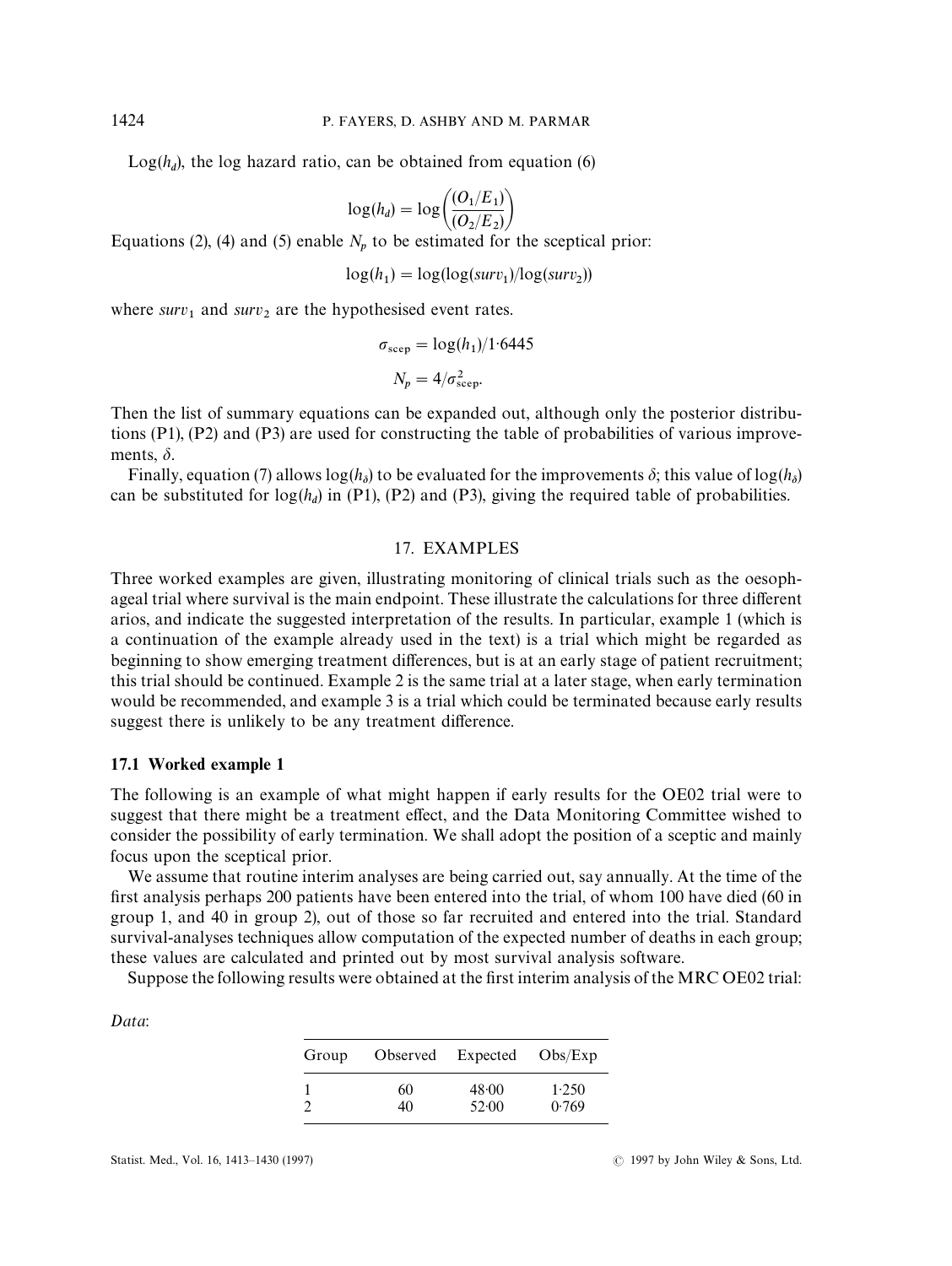$Log(h_d)$ , the log hazard ratio, can be obtained from equation (6)

$$
\log(h_d) = \log\left(\frac{(O_1/E_1)}{(O_2/E_2)}\right)
$$

Equations (2), (4) and (5) enable  $N_p$  to be estimated for the sceptical prior:

 $log(h_1) = log(log(surv_1)/log(surv_2))$ 

where  $surv_1$  and  $surv_2$  are the hypothesised event rates.

$$
\sigma_{\text{scep}} = \log(h_1)/1.6445
$$

$$
N_p = 4/\sigma_{\text{scep}}^2.
$$

Then the list of summary equations can be expanded out, although only the posterior distributions (P1), (P2) and (P3) are used for constructing the table of probabilities of various improvements,  $\delta$ .

Finally, equation (7) allows  $\log(h_\delta)$  to be evaluated for the improvements  $\delta$ ; this value of  $\log(h_\delta)$ r many, equation (*r*) anows log( $h_a$ ) to be evaluated for the improvements  $v$ , this value of log( $h_a$ ) and (P1), (P2) and (P3), giving the required table of probabilities.

#### 17. EXAMPLES

Three worked examples are given, illustrating monitoring of clinical trials such as the oesophageal trial where survival is the main endpoint. These illustrate the calculations for three different arios, and indicate the suggested interpretation of the results. In particular, example 1 (which is a continuation of the example already used in the text) is a trial which might be regarded as beginning to show emerging treatment differences, but is at an early stage of patient recruitment; this trial should be continued. Example 2 is the same trial at a later stage, when early termination would be recommended, and example 3 is a trial which could be terminated because early results suggest there is unlikely to be any treatment difference.

## 17.1 Worked example 1

The following is an example of what might happen if early results for the OE02 trial were to suggest that there might be a treatment effect, and the Data Monitoring Committee wished to consider the possibility of early termination. We shall adopt the position of a sceptic and mainly focus upon the sceptical prior.

We assume that routine interim analyses are being carried out, say annually. At the time of the first analysis perhaps 200 patients have been entered into the trial, of whom 100 have died (60 in group 1, and 40 in group 2), out of those so far recruited and entered into the trial. Standard survival-analyses techniques allow computation of the expected number of deaths in each group; these values are calculated and printed out by most survival analysis software.

Suppose the following results were obtained at the first interim analysis of the MRC OE02 trial:

| Data: |
|-------|
|-------|

| Group | Observed | Expected | Obs/Exp |
|-------|----------|----------|---------|
|       | 60       | 48.00    | 1.250   |
|       | 40       | 52:00    | 0.769   |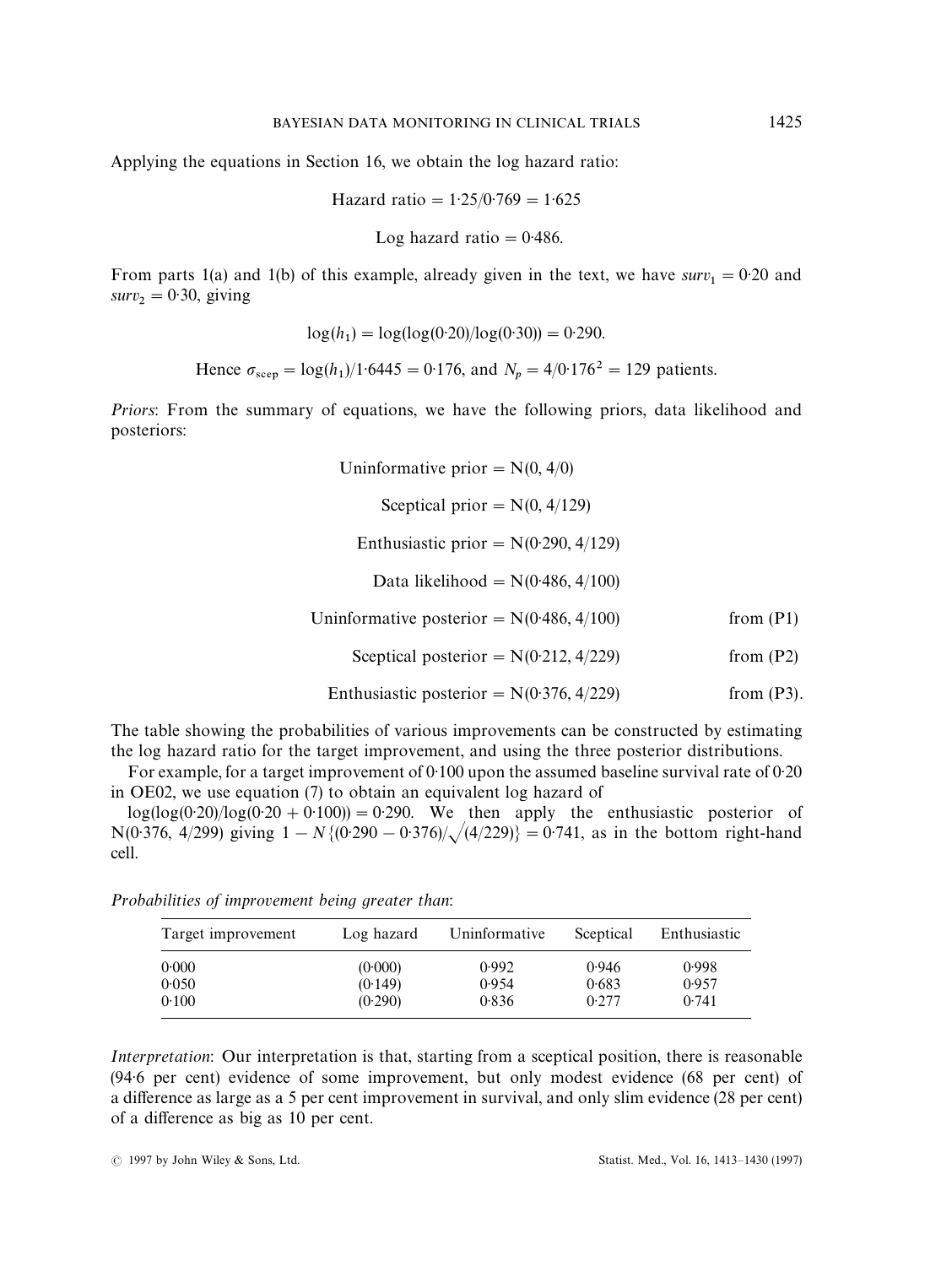Applying the equations in Section 16, we obtain the log hazard ratio:

Hazard ratio = 
$$
1.25/0.769 = 1.625
$$

\nLog hazard ratio =  $0.486$ .

From parts 1(a) and 1(b) of this example, already given in the text, we have  $surv_1 = 0.20$  and  $surv_2 = 0.30$ , giving

$$
\log(h_1) = \log(\log(0.20)/\log(0.30)) = 0.290.
$$

Hence 
$$
\sigma_{\text{keep}} = \log(h_1)/1.6445 = 0.176
$$
, and  $N_p = 4/0.176^2 = 129$  patients.

*Priors*: From the summary of equations, we have the following priors, data likelihood and posteriors:

> Uninformative prior  $=N(0, 4/0)$ Sceptical prior  $=N(0, 4/129)$ Enthusiastic prior  $=N(0.290, 4/129)$ Data likelihood  $=N(0.486, 4/100)$ Uninformative posterior  $= N(0.486, 4/100)$  from (P1) Sceptical posterior  $= N(0.212, 4/229)$  from (P2)

$$
1000 \text{ from (12)}
$$

Enthusiastic posterior = 
$$
N(0.376, 4/229)
$$
 from (P3).

The table showing the probabilities of various improvements can be constructed by estimating the log hazard ratio for the target improvement, and using the three posterior distributions.

For example, for a target improvement of 0·100 upon the assumed baseline survival rate of 0·20 in OE02, we use equation (7) to obtain an equivalent log hazard of

 $log(log(0.20)/log(0.20 + 0.100)) = 0.290$ . We then apply the enthusiastic posterior of  $N(0.376, 4/299)$  giving  $1 - N(0.290 - 0.376)/\sqrt{(4/229)} = 0.741$ , as in the bottom right-hand cell.

| Probabilities of improvement being greater than: |  |  |  |
|--------------------------------------------------|--|--|--|
|                                                  |  |  |  |

| Target improvement | Log hazard | Uninformative | Sceptical | Enthusiastic |
|--------------------|------------|---------------|-----------|--------------|
| 0.000              | (0.000)    | 0.992         | 0.946     | 0.998        |
| 0.050              | (0.149)    | 0.954         | 0.683     | 0.957        |
| 0.100              | (0.290)    | 0.836         | 0.277     | 0.741        |

*Interpretation*: Our interpretation is that, starting from a sceptical position, there is reasonable (94·6 per cent) evidence of some improvement, but only modest evidence (68 per cent) of a difference as large as a 5 per cent improvement in survival, and only slim evidence (28 per cent) of a difference as big as 10 per cent.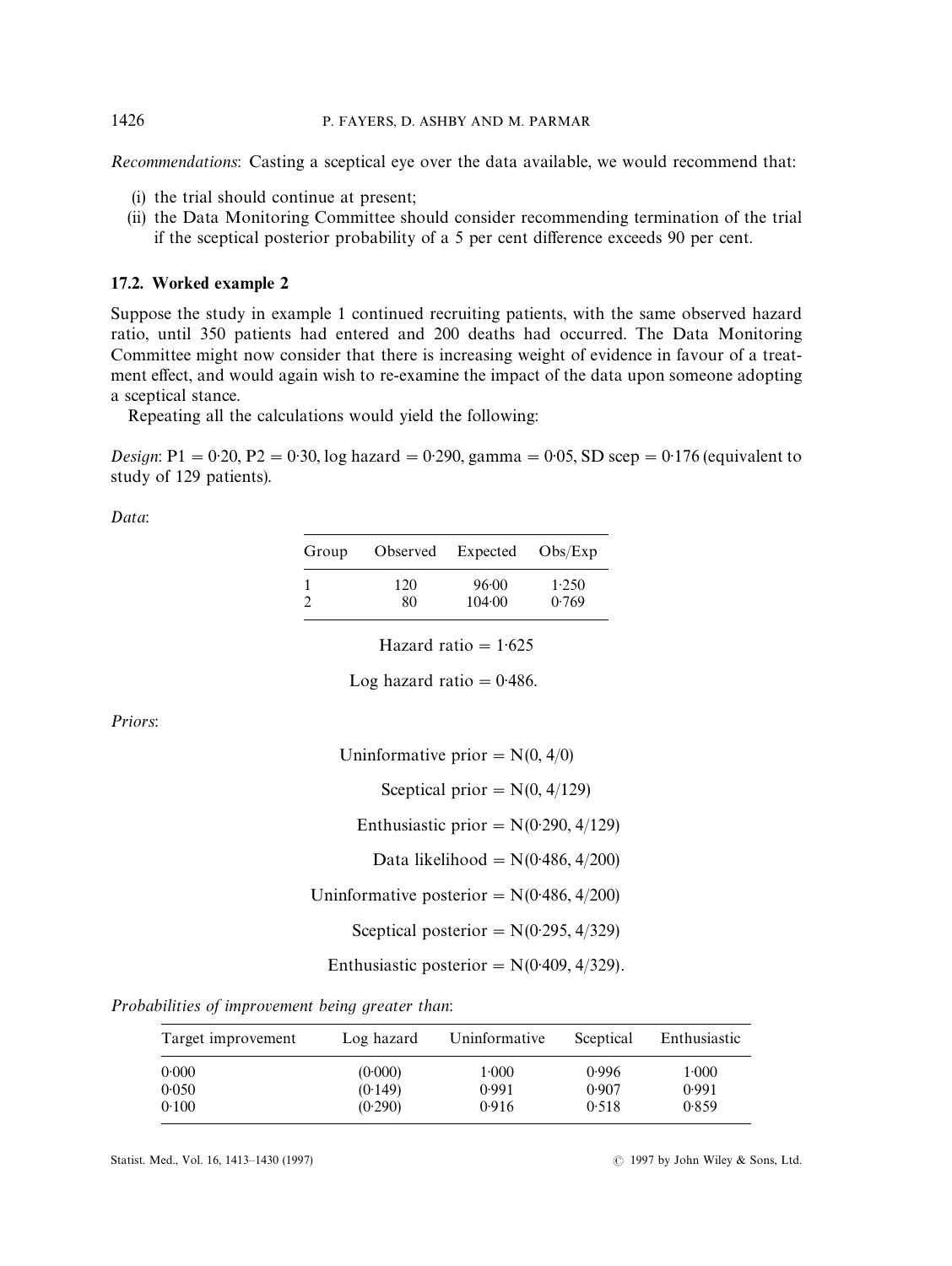# 1426 P. FAYERS, D. ASHBY AND M. PARMAR

*Recommendations*: Casting a sceptical eye over the data available, we would recommend that:

- (i) the trial should continue at present;
- (ii) the Data Monitoring Committee should consider recommending termination of the trial if the sceptical posterior probability of a 5 per cent difference exceeds 90 per cent.

## 17.2. Worked example 2

Suppose the study in example 1 continued recruiting patients, with the same observed hazard ratio, until 350 patients had entered and 200 deaths had occurred. The Data Monitoring Committee might now consider that there is increasing weight of evidence in favour of a treatment effect, and would again wish to re-examine the impact of the data upon someone adopting a sceptical stance.

Repeating all the calculations would yield the following:

*Design*: P1 =  $0.20$ , P2 =  $0.30$ , log hazard =  $0.290$ , gamma =  $0.05$ , SD scep =  $0.176$  (equivalent to study of 129 patients).

*Data*:

| Group | Observed | Expected | Obs/Exp |
|-------|----------|----------|---------|
|       | 120      | 96:00    | 1.250   |
|       | 80       | 104.00   | 0.769   |

Hazard ratio  $= 1.625$ 

Log hazard ratio  $= 0.486$ .

*Priors*:

Uninformative prior  $=N(0, 4/0)$ 

Sceptical prior  $=N(0, 4/129)$ 

Enthusiastic prior  $= N(0.290, 4/129)$ 

Data likelihood =  $N(0.486, 4/200)$ 

Uninformative posterior  $= N(0.486, 4/200)$ 

Sceptical posterior  $=N(0.295, 4/329)$ 

Enthusiastic posterior  $=N(0.409, 4/329)$ .

*Probabilities of improvement being greater than*:

| Target improvement | Log hazard         | Uninformative  | Sceptical      | Enthusiastic   |
|--------------------|--------------------|----------------|----------------|----------------|
| 0.000              | (0.000)            | 1:000          | 0.996          | 1:000          |
| 0.050<br>0.100     | (0.149)<br>(0.290) | 0.991<br>0.916 | 0.907<br>0.518 | 0.991<br>0.859 |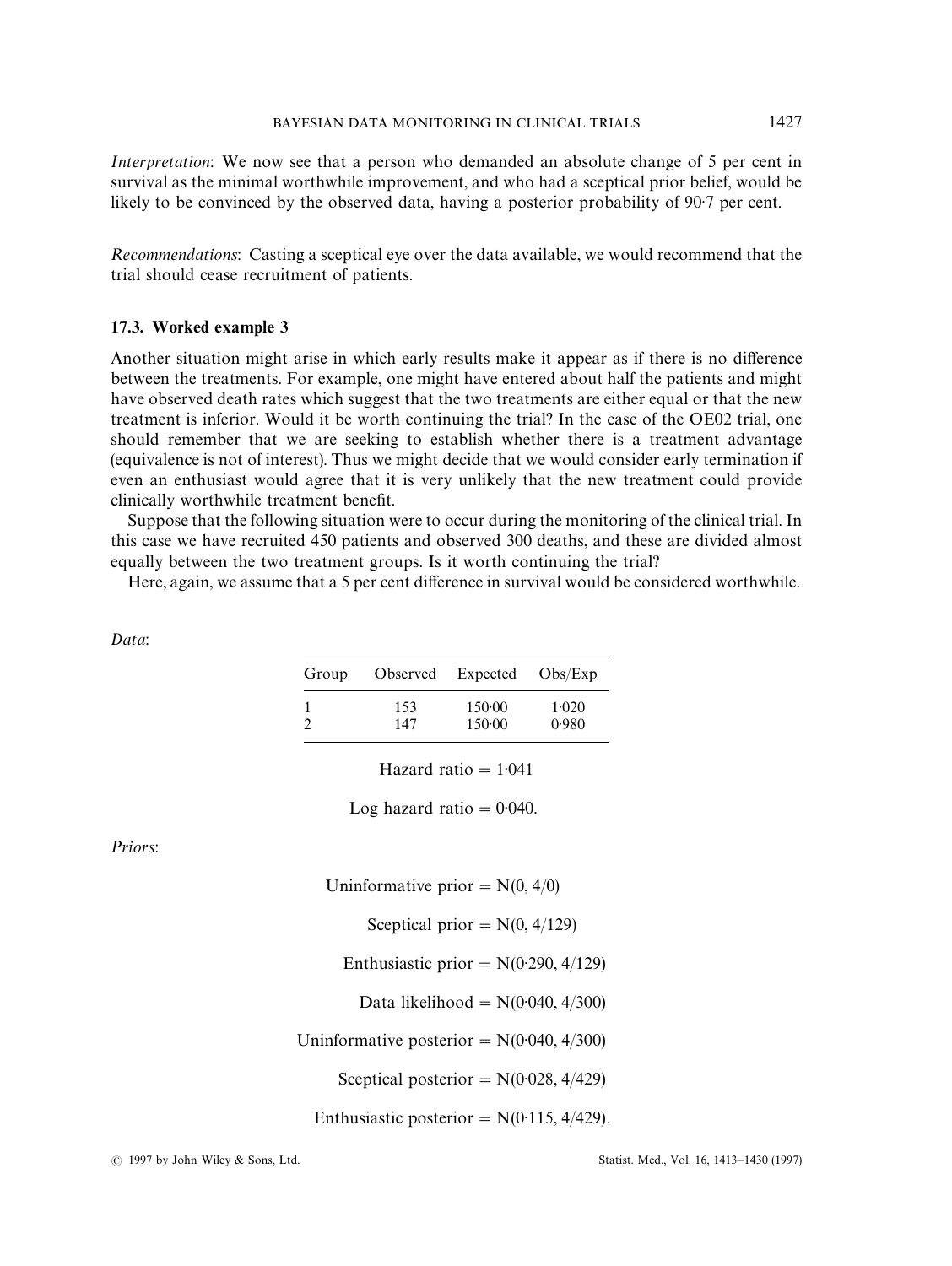*Interpretation*: We now see that a person who demanded an absolute change of 5 per cent in survival as the minimal worthwhile improvement, and who had a sceptical prior belief, would be likely to be convinced by the observed data, having a posterior probability of 90·7 per cent.

*Recommendations*: Casting a sceptical eye over the data available, we would recommend that the trial should cease recruitment of patients.

#### 17.3. Worked example 3

Another situation might arise in which early results make it appear as if there is no difference between the treatments. For example, one might have entered about half the patients and might have observed death rates which suggest that the two treatments are either equal or that the new treatment is inferior. Would it be worth continuing the trial? In the case of the OE02 trial, one should remember that we are seeking to establish whether there is a treatment advantage (equivalence is not of interest). Thus we might decide that we would consider early termination if even an enthusiast would agree that it is very unlikely that the new treatment could provide clinically worthwhile treatment benefit.

Suppose that the following situation were to occur during the monitoring of the clinical trial. In this case we have recruited 450 patients and observed 300 deaths, and these are divided almost equally between the two treatment groups. Is it worth continuing the trial?

Here, again, we assume that a 5 per cent difference in survival would be considered worthwhile.

*Data*:

| Group | Observed | Expected Obs/Exp |       |
|-------|----------|------------------|-------|
|       | 153      | $150-00$         | 1.020 |
|       | 147      | $150-00$         | 0.980 |

Hazard ratio  $= 1.041$ 

Log hazard ratio  $= 0.040$ .

*Priors*:

Uninformative prior  $=N(0, 4/0)$ 

Sceptical prior  $=N(0, 4/129)$ 

Enthusiastic prior  $=N(0.290, 4/129)$ 

Data likelihood  $=N(0.040, 4/300)$ 

Uninformative posterior  $= N(0.040, 4/300)$ 

Sceptical posterior  $=N(0.028, 4/429)$ 

Enthusiastic posterior  $=N(0.115, 4/429)$ .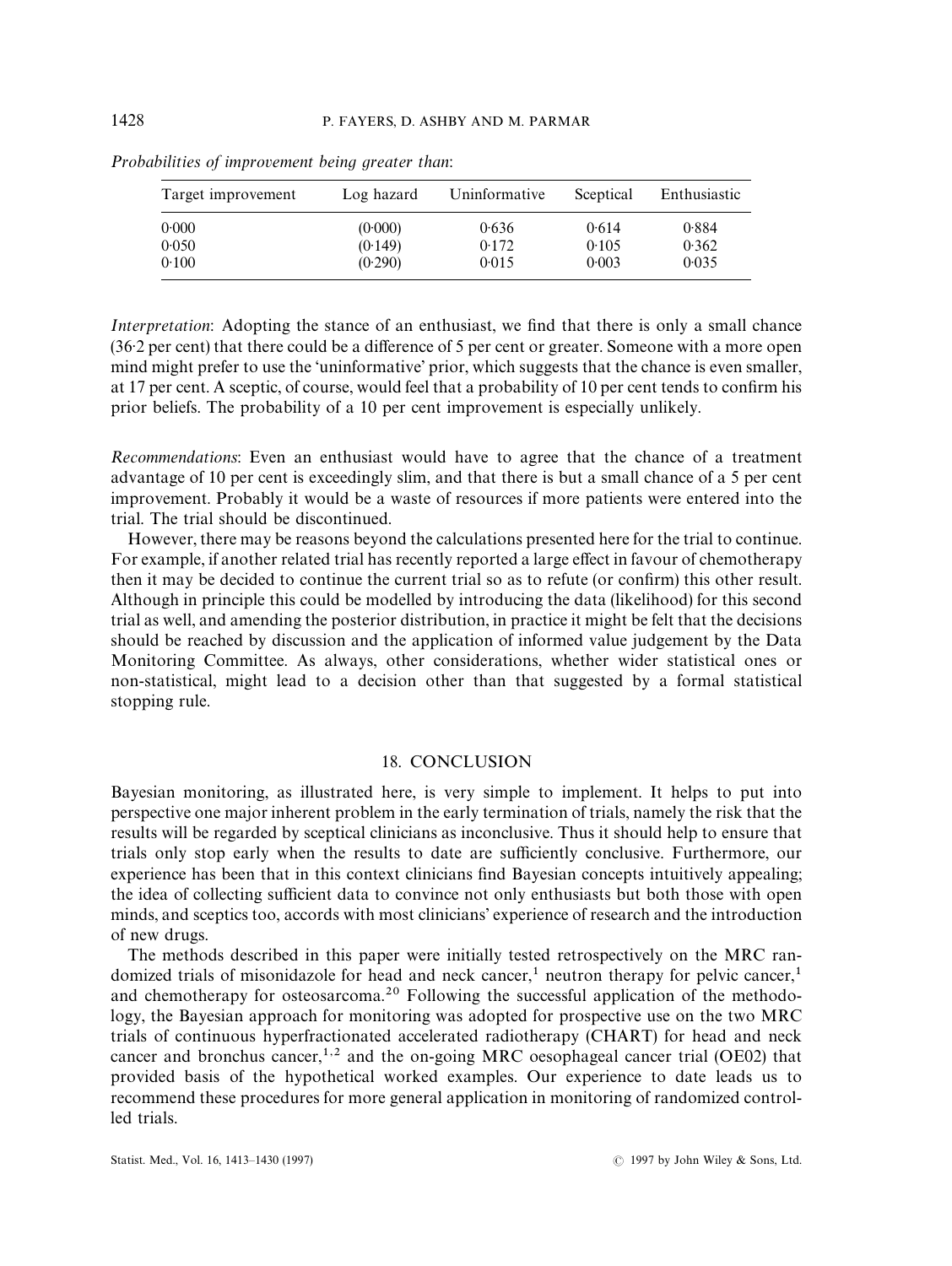| Target improvement | Log hazard | Uninformative | Sceptical | Enthusiastic |
|--------------------|------------|---------------|-----------|--------------|
| 0.000              | (0.000)    | 0.636         | 0.614     | 0.884        |
| 0.050              | (0.149)    | 0.172         | 0.105     | 0.362        |
| 0.100              | (0.290)    | 0.015         | 0.003     | 0.035        |

*Probabilities of improvement being greater than*:

*Interpretation*: Adopting the stance of an enthusiast, we find that there is only a small chance (36·2 per cent) that there could be a difference of 5 per cent or greater. Someone with a more open mind might prefer to use the 'uninformative' prior, which suggests that the chance is even smaller, at 17 per cent. A sceptic, of course, would feel that a probability of 10 per cent tends to confirm his prior beliefs. The probability of a 10 per cent improvement is especially unlikely.

*Recommendations*: Even an enthusiast would have to agree that the chance of a treatment advantage of 10 per cent is exceedingly slim, and that there is but a small chance of a 5 per cent improvement. Probably it would be a waste of resources if more patients were entered into the trial. The trial should be discontinued.

However, there may be reasons beyond the calculations presented here for the trial to continue. For example, if another related trial has recently reported a large effect in favour of chemotherapy then it may be decided to continue the current trial so as to refute (or confirm) this other result. Although in principle this could be modelled by introducing the data (likelihood) for this second trial as well, and amending the posterior distribution, in practice it might be felt that the decisions should be reached by discussion and the application of informed value judgement by the Data Monitoring Committee. As always, other considerations, whether wider statistical ones or non-statistical, might lead to a decision other than that suggested by a formal statistical stopping rule.

#### 18. CONCLUSION

Bayesian monitoring, as illustrated here, is very simple to implement. It helps to put into perspective one major inherent problem in the early termination of trials, namely the risk that the results will be regarded by sceptical clinicians as inconclusive. Thus it should help to ensure that trials only stop early when the results to date are sufficiently conclusive. Furthermore, our experience has been that in this context clinicians find Bayesian concepts intuitively appealing; the idea of collecting sufficient data to convince not only enthusiasts but both those with open minds, and sceptics too, accords with most clinicians' experience of research and the introduction of new drugs.

The methods described in this paper were initially tested retrospectively on the MRC randomized trials of misonidazole for head and neck cancer,<sup>1</sup> neutron therapy for pelvic cancer,<sup>1</sup> and chemotherapy for osteosarcoma.<sup>20</sup> Following the successful application of the methodology, the Bayesian approach for monitoring was adopted for prospective use on the two MRC trials of continuous hyperfractionated accelerated radiotherapy (CHART) for head and neck cancer and bronchus cancer,<sup>1,2</sup> and the on-going MRC oesophageal cancer trial (OE02) that provided basis of the hypothetical worked examples. Our experience to date leads us to recommend these procedures for more general application in monitoring of randomized controlled trials.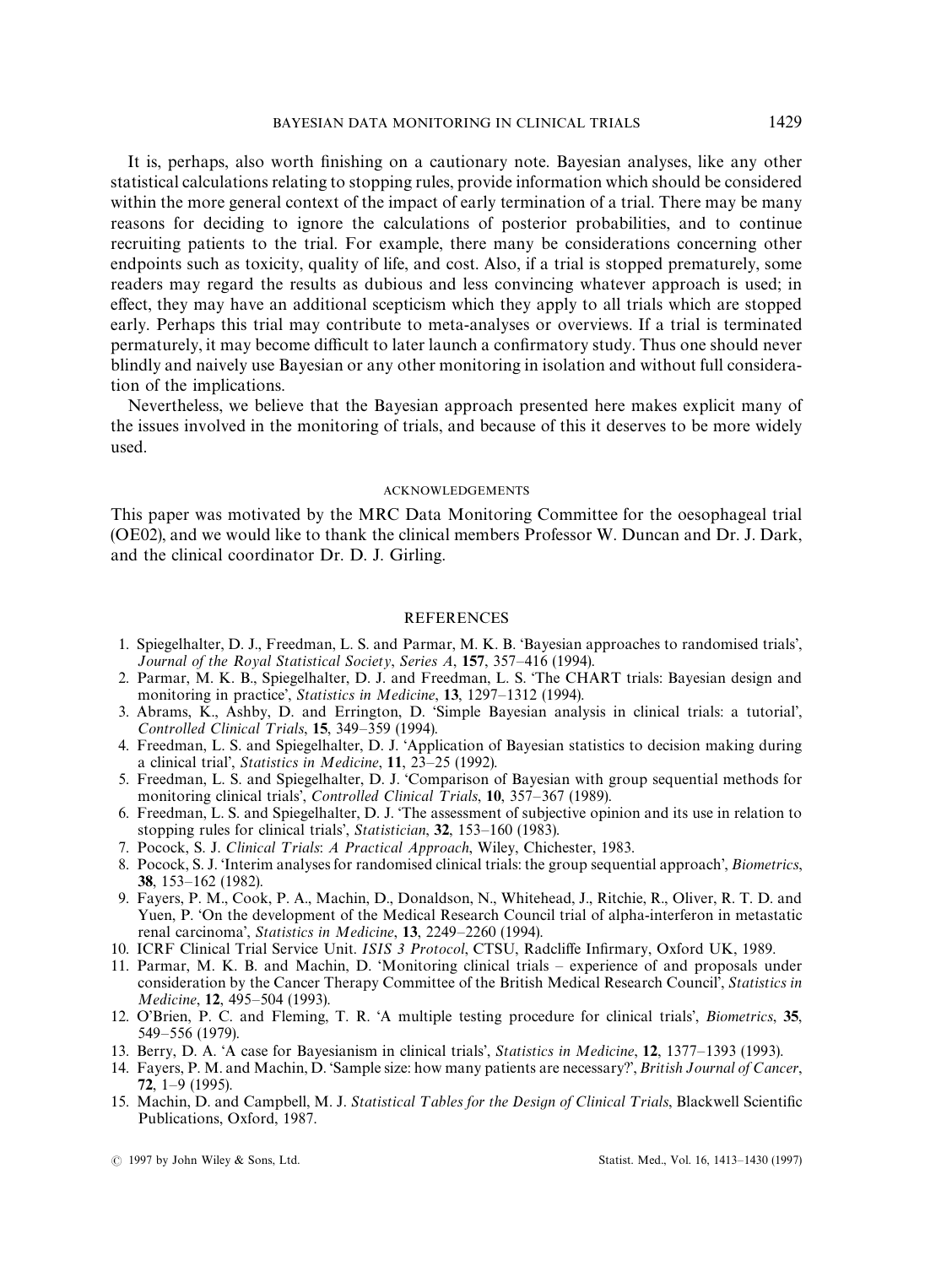#### BAYESIAN DATA MONITORING IN CLINICAL TRIALS 1429

It is, perhaps, also worth finishing on a cautionary note. Bayesian analyses, like any other statistical calculations relating to stopping rules, provide information which should be considered within the more general context of the impact of early termination of a trial. There may be many reasons for deciding to ignore the calculations of posterior probabilities, and to continue recruiting patients to the trial. For example, there many be considerations concerning other endpoints such as toxicity, quality of life, and cost. Also, if a trial is stopped prematurely, some readers may regard the results as dubious and less convincing whatever approach is used; in effect, they may have an additional scepticism which they apply to all trials which are stopped early. Perhaps this trial may contribute to meta-analyses or overviews. If a trial is terminated permaturely, it may become difficult to later launch a confirmatory study. Thus one should never blindly and naively use Bayesian or any other monitoring in isolation and without full consideration of the implications.

Nevertheless, we believe that the Bayesian approach presented here makes explicit many of the issues involved in the monitoring of trials, and because of this it deserves to be more widely used.

#### ACKNOWLEDGEMENTS

This paper was motivated by the MRC Data Monitoring Committee for the oesophageal trial (OE02), and we would like to thank the clinical members Professor W. Duncan and Dr. J. Dark, and the clinical coordinator Dr. D. J. Girling.

## REFERENCES

- 1. Spiegelhalter, D. J., Freedman, L. S. and Parmar, M. K. B. 'Bayesian approaches to randomised trials', *Journal of the Royal Statistical Society*, *Series A*, 157, 357*—*416 (1994).
- 2. Parmar, M. K. B., Spiegelhalter, D. J. and Freedman, L. S. 'The CHART trials: Bayesian design and monitoring in practice', *Statistics in Medicine*, 13, 1297*—*1312 (1994).
- 3. Abrams, K., Ashby, D. and Errington, D. 'Simple Bayesian analysis in clinical trials: a tutorial', *Controlled Clinical Trials*, 15, 349-359 (1994).
- 4. Freedman, L. S. and Spiegelhalter, D. J. 'Application of Bayesian statistics to decision making during a clinical trial', *Statistics in Medicine*, 11, 23*—*25 (1992).
- 5. Freedman, L. S. and Spiegelhalter, D. J. 'Comparison of Bayesian with group sequential methods for monitoring clinical trials', *Controlled Clinical Trials*, 10, 357–367 (1989).
- 6. Freedman, L. S. and Spiegelhalter, D. J. 'The assessment of subjective opinion and its use in relation to stopping rules for clinical trials', *Statistician*, 32, 153*—*160 (1983).
- 7. Pocock, S. J. *Clinical Trials: A Practical Approach*, Wiley, Chichester, 1983.
- 8. Pocock, S. J. 'Interim analyses for randomised clinical trials: the group sequential approach', *Biometrics*, 38, 153*—*162 (1982).
- 9. Fayers, P. M., Cook, P. A., Machin, D., Donaldson, N., Whitehead, J., Ritchie, R., Oliver, R. T. D. and Yuen, P. 'On the development of the Medical Research Council trial of alpha-interferon in metastatic renal carcinoma', *Statistics in Medicine*, 13, 2249*—*2260 (1994).
- 10. ICRF Clinical Trial Service Unit. *ISIS 3 Protocol*, CTSU, Radcliffe Infirmary, Oxford UK, 1989.
- 11. Parmar, M. K. B. and Machin, D. 'Monitoring clinical trials *—* experience of and proposals under consideration by the Cancer Therapy Committee of the British Medical Research Council', *Statistics in Medicine*, 12, 495*—*504 (1993).
- 12. O'Brien, P. C. and Fleming, T. R. 'A multiple testing procedure for clinical trials', *Biometrics*, 35, 549*—*556 (1979).
- 13. Berry, D. A. 'A case for Bayesianism in clinical trials', *Statistics in Medicine*, 12, 1377*—*1393 (1993).
- 14. Fayers, P. M. and Machin, D. 'Sample size: how many patients are necessary?', *British Journal of Cancer*, 72, 1*—*9 (1995).
- 15. Machin, D. and Campbell, M. J. *Statistical Tables for the Design of Clinical Trials*, Blackwell Scientific Publications, Oxford, 1987.